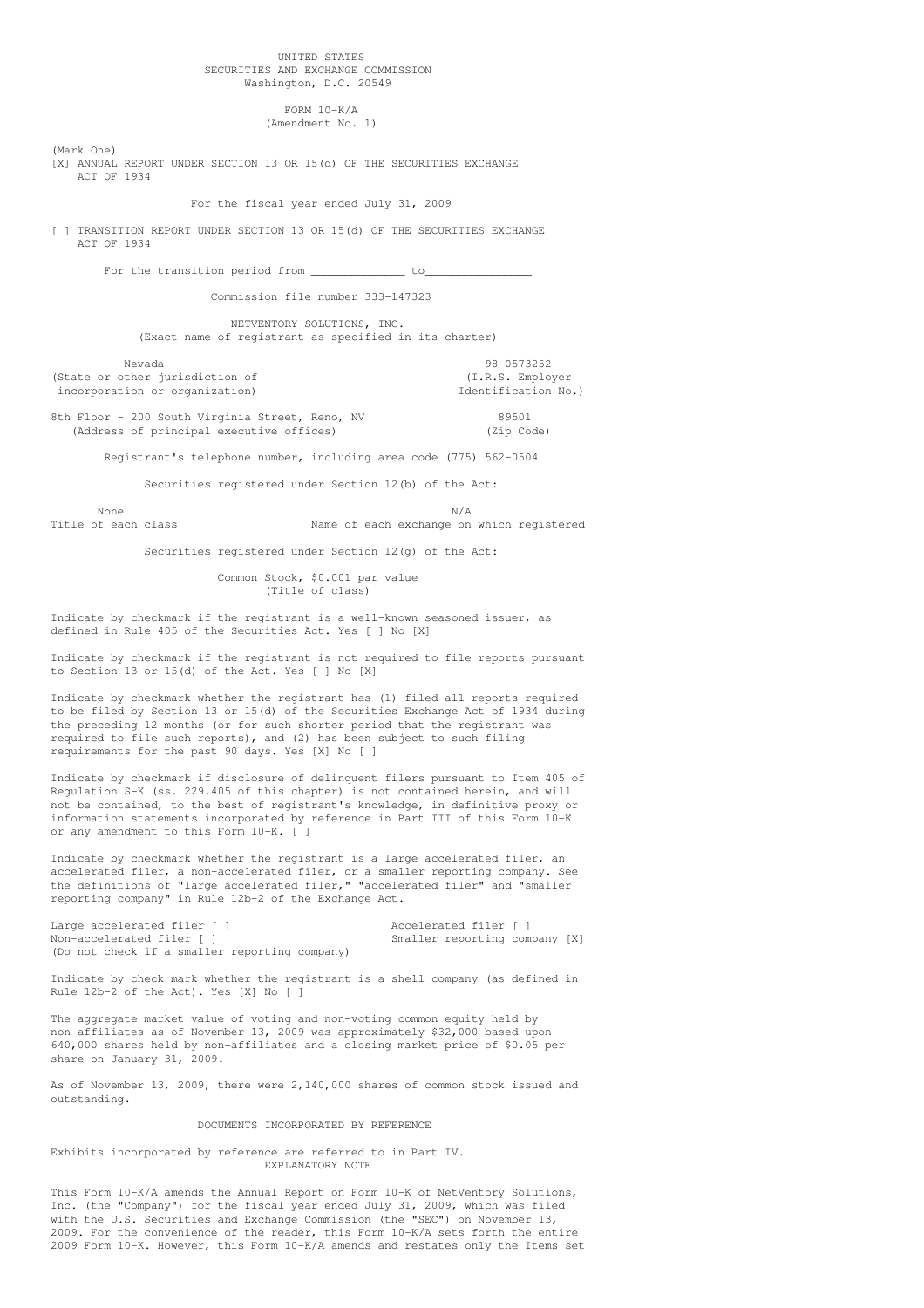## UNITED STATES SECURITIES AND EXCHANGE COMMISSION Washington, D.C. 20549

FORM 10-K/A (Amendment No. 1)

(Mark One)

[X] ANNUAL REPORT UNDER SECTION 13 OR 15(d) OF THE SECURITIES EXCHANGE ACT OF 1934

For the fiscal year ended July 31, 2009

[ ] TRANSITION REPORT UNDER SECTION 13 OR 15(d) OF THE SECURITIES EXCHANGE ACT OF 1934

For the transition period from \_\_\_\_\_\_\_\_\_\_\_\_\_\_ to\_\_\_\_\_\_\_\_\_\_\_\_\_\_\_\_

Commission file number 333-147323

NETVENTORY SOLUTIONS, INC. (Exact name of registrant as specified in its charter)

Nevada 98-0573252 (State or other jurisdiction of (I.R.S. Employer incorporation or organization) and incorporation No.)

8th Floor - 200 South Virginia Street, Reno, NV 89501 (Address of principal executive offices) (Zip Code)

Registrant's telephone number, including area code (775) 562-0504

Securities registered under Section 12(b) of the Act:

None N/A Title of each class Name of each exchange on which registered

Securities registered under Section 12(g) of the Act:

Common Stock, \$0.001 par value (Title of class)

Indicate by checkmark if the registrant is a well-known seasoned issuer, as defined in Rule 405 of the Securities Act. Yes [ ] No [X]

Indicate by checkmark if the registrant is not required to file reports pursuant to Section 13 or 15(d) of the Act. Yes [ ] No [X]

Indicate by checkmark whether the registrant has (1) filed all reports required to be filed by Section 13 or 15(d) of the Securities Exchange Act of 1934 during the preceding 12 months (or for such shorter period that the registrant was required to file such reports), and (2) has been subject to such filing requirements for the past 90 days. Yes [X] No [ ]

Indicate by checkmark if disclosure of delinquent filers pursuant to Item 405 of Regulation S-K (ss. 229.405 of this chapter) is not contained herein, and will not be contained, to the best of registrant's knowledge, in definitive proxy or information statements incorporated by reference in Part III of this Form 10-K or any amendment to this Form 10-K. [ ]

Indicate by checkmark whether the registrant is a large accelerated filer, an accelerated filer, a non-accelerated filer, or a smaller reporting company. See the definitions of "large accelerated filer," "accelerated filer" and "smaller reporting company" in Rule 12b-2 of the Exchange Act.

Large accelerated filer [ ] <br>
Accelerated filer [ ] Non-accelerated filer [ ] Smaller reporting company [X] (Do not check if a smaller reporting company)

Indicate by check mark whether the registrant is a shell company (as defined in Rule 12b-2 of the Act). Yes [X] No [ ]

The aggregate market value of voting and non-voting common equity held by non-affiliates as of November 13, 2009 was approximately \$32,000 based upon 640,000 shares held by non-affiliates and a closing market price of \$0.05 per share on January 31, 2009.

As of November 13, 2009, there were 2,140,000 shares of common stock issued and outstanding.

DOCUMENTS INCORPORATED BY REFERENCE

Exhibits incorporated by reference are referred to in Part IV. EXPLANATORY NOTE

This Form 10-K/A amends the Annual Report on Form 10-K of NetVentory Solutions, Inc. (the "Company") for the fiscal year ended July 31, 2009, which was filed with the U.S. Securities and Exchange Commission (the "SEC") on November 13, 2009. For the convenience of the reader, this Form 10-K/A sets forth the entire 2009 Form 10-K. However, this Form 10-K/A amends and restates only the Items set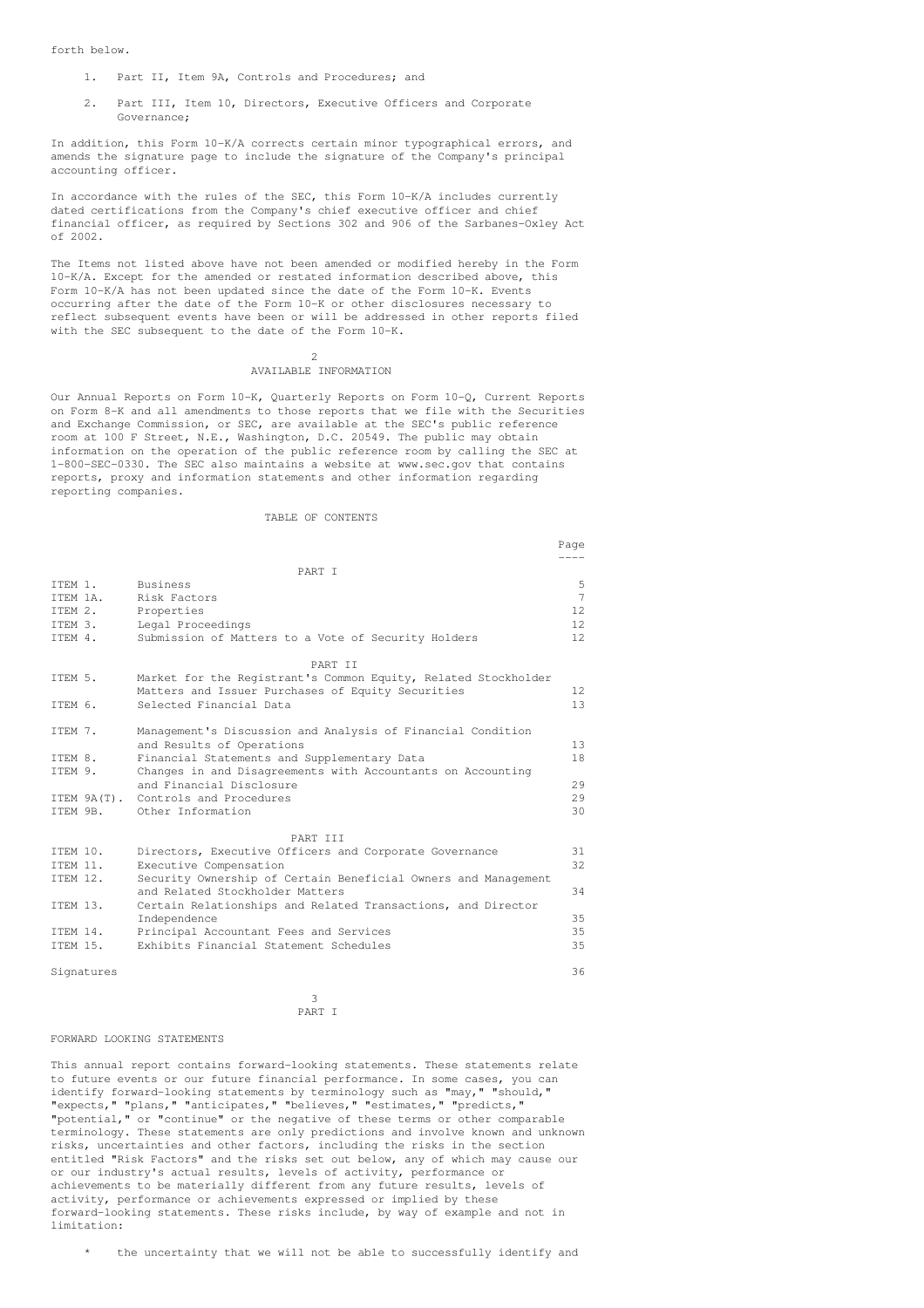forth below.

- 1. Part II, Item 9A, Controls and Procedures; and
- 2. Part III, Item 10, Directors, Executive Officers and Corporate Governance;

In addition, this Form 10-K/A corrects certain minor typographical errors, and amends the signature page to include the signature of the Company's principal accounting officer.

In accordance with the rules of the SEC, this Form 10-K/A includes currently dated certifications from the Company's chief executive officer and chief financial officer, as required by Sections 302 and 906 of the Sarbanes-Oxley Act of 2002.

The Items not listed above have not been amended or modified hereby in the Form 10-K/A. Except for the amended or restated information described above, this Form 10-K/A has not been updated since the date of the Form 10-K. Events occurring after the date of the Form 10-K or other disclosures necessary to reflect subsequent events have been or will be addressed in other reports filed with the SEC subsequent to the date of the Form 10-K.

### 2 AVAILABLE INFORMATION

Our Annual Reports on Form 10-K, Quarterly Reports on Form 10-Q, Current Reports on Form 8-K and all amendments to those reports that we file with the Securities and Exchange Commission, or SEC, are available at the SEC's public reference room at 100 F Street, N.E., Washington, D.C. 20549. The public may obtain information on the operation of the public reference room by calling the SEC at 1-800-SEC-0330. The SEC also maintains a website at www.sec.gov that contains reports, proxy and information statements and other information regarding reporting companies.

## TABLE OF CONTENTS

|          |             |                                                                | Page            |
|----------|-------------|----------------------------------------------------------------|-----------------|
|          |             |                                                                |                 |
|          |             | PART T                                                         |                 |
| TTEM 1.  |             | Business                                                       | 5               |
| TTEM 1A. |             | Risk Factors                                                   | $7\phantom{.0}$ |
| ITEM 2.  |             | Properties                                                     | 12.             |
| TTEM 3.  |             | Legal Proceedings                                              | 12.             |
| TTEM 4.  |             | Submission of Matters to a Vote of Security Holders            | 12.             |
|          |             | PART TT                                                        |                 |
| ITEM 5.  |             | Market for the Registrant's Common Equity, Related Stockholder |                 |
|          |             | Matters and Issuer Purchases of Equity Securities              | 12 <sup>°</sup> |
| TTEM 6.  |             | Selected Financial Data                                        | 13              |
|          |             |                                                                |                 |
| ITEM 7.  |             | Management's Discussion and Analysis of Financial Condition    |                 |
|          |             | and Results of Operations                                      | 13              |
| TTEM 8.  |             | Financial Statements and Supplementary Data                    | 18              |
| ITEM 9.  |             | Changes in and Disagreements with Accountants on Accounting    |                 |
|          |             | and Financial Disclosure                                       | 29              |
|          | ITEM 9A(T). | Controls and Procedures                                        | 29              |
| TTEM 9B. |             | Other Information                                              | 30              |
|          |             | PART TIT                                                       |                 |
| ITEM 10. |             | Directors, Executive Officers and Corporate Governance         | 31              |
| TTEM 11. |             | Executive Compensation                                         | 32              |
| ITEM 12. |             | Security Ownership of Certain Beneficial Owners and Management |                 |
|          |             | and Related Stockholder Matters                                | 34              |
| ITEM 13. |             | Certain Relationships and Related Transactions, and Director   |                 |
|          |             | Independence                                                   | 35              |
| TTEM 14. |             | Principal Accountant Fees and Services                         | 35              |
| ITEM 15. |             | Exhibits Financial Statement Schedules                         | 35              |
|          |             |                                                                |                 |
|          | Signatures  |                                                                | 36              |

3 PART I

### FORWARD LOOKING STATEMENTS

This annual report contains forward-looking statements. These statements relate to future events or our future financial performance. In some cases, you can identify forward-looking statements by terminology such as "may," "should," "expects," "plans," "anticipates," "believes," "estimates," "predicts," "potential," or "continue" or the negative of these terms or other comparable terminology. These statements are only predictions and involve known and unknown risks, uncertainties and other factors, including the risks in the section entitled "Risk Factors" and the risks set out below, any of which may cause our or our industry's actual results, levels of activity, performance or achievements to be materially different from any future results, levels of activity, performance or achievements expressed or implied by these forward-looking statements. These risks include, by way of example and not in limitation:

the uncertainty that we will not be able to successfully identify and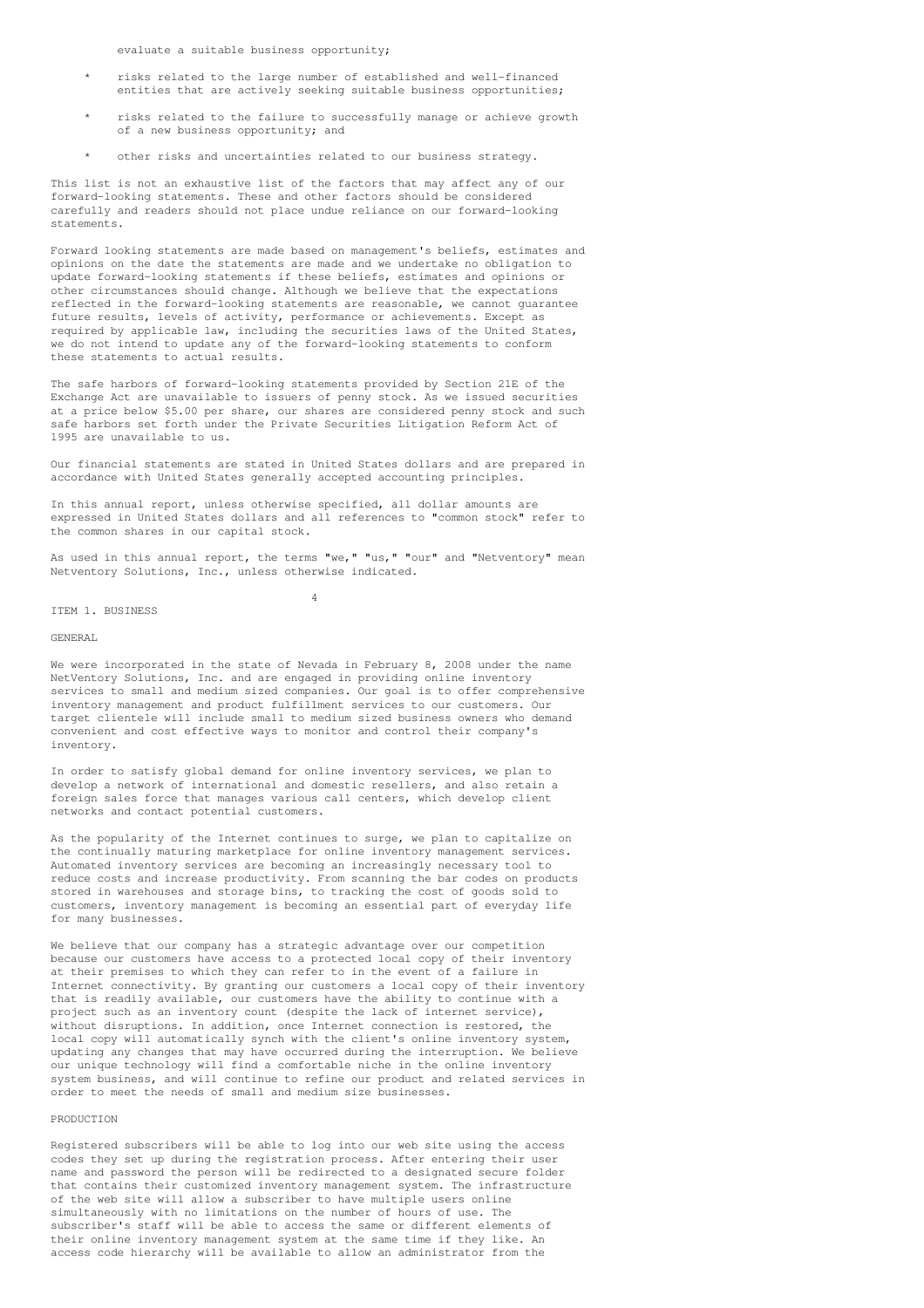evaluate a suitable business opportunity;

- risks related to the large number of established and well-financed entities that are actively seeking suitable business opportunities;
- risks related to the failure to successfully manage or achieve growth of a new business opportunity; and
- other risks and uncertainties related to our business strategy.

This list is not an exhaustive list of the factors that may affect any of our forward-looking statements. These and other factors should be considered carefully and readers should not place undue reliance on our forward-looking statements.

Forward looking statements are made based on management's beliefs, estimates and opinions on the date the statements are made and we undertake no obligation to update forward-looking statements if these beliefs, estimates and opinions or other circumstances should change. Although we believe that the expectations reflected in the forward-looking statements are reasonable, we cannot guarantee future results, levels of activity, performance or achievements. Except as required by applicable law, including the securities laws of the United States, we do not intend to update any of the forward-looking statements to conform these statements to actual results.

The safe harbors of forward-looking statements provided by Section 21E of the Exchange Act are unavailable to issuers of penny stock. As we issued securities at a price below \$5.00 per share, our shares are considered penny stock and such safe harbors set forth under the Private Securities Litigation Reform Act of 1995 are unavailable to us.

Our financial statements are stated in United States dollars and are prepared in accordance with United States generally accepted accounting principles.

In this annual report, unless otherwise specified, all dollar amounts are expressed in United States dollars and all references to "common stock" refer to the common shares in our capital stock.

As used in this annual report, the terms "we," "us," "our" and "Netventory" mean Netventory Solutions, Inc., unless otherwise indicated.

4

### ITEM 1. BUSINESS

## GENERAL

We were incorporated in the state of Nevada in February 8, 2008 under the name NetVentory Solutions, Inc. and are engaged in providing online inventory services to small and medium sized companies. Our goal is to offer comprehensive inventory management and product fulfillment services to our customers. Our target clientele will include small to medium sized business owners who demand convenient and cost effective ways to monitor and control their company's inventory.

In order to satisfy global demand for online inventory services, we plan to develop a network of international and domestic resellers, and also retain a foreign sales force that manages various call centers, which develop client networks and contact potential customers.

As the popularity of the Internet continues to surge, we plan to capitalize on the continually maturing marketplace for online inventory management services. Automated inventory services are becoming an increasingly necessary tool to reduce costs and increase productivity. From scanning the bar codes on products stored in warehouses and storage bins, to tracking the cost of goods sold to customers, inventory management is becoming an essential part of everyday life for many businesses.

We believe that our company has a strategic advantage over our competition because our customers have access to a protected local copy of their inventory at their premises to which they can refer to in the event of a failure in Internet connectivity. By granting our customers a local copy of their inventory that is readily available, our customers have the ability to continue with a project such as an inventory count (despite the lack of internet service), without disruptions. In addition, once Internet connection is restored, the local copy will automatically synch with the client's online inventory system, updating any changes that may have occurred during the interruption. We believe our unique technology will find a comfortable niche in the online inventory system business, and will continue to refine our product and related services in order to meet the needs of small and medium size businesses.

### PRODUCTION

Registered subscribers will be able to log into our web site using the access codes they set up during the registration process. After entering their user name and password the person will be redirected to a designated secure folder that contains their customized inventory management system. The infrastructure of the web site will allow a subscriber to have multiple users online simultaneously with no limitations on the number of hours of use. The subscriber's staff will be able to access the same or different elements of their online inventory management system at the same time if they like. An access code hierarchy will be available to allow an administrator from the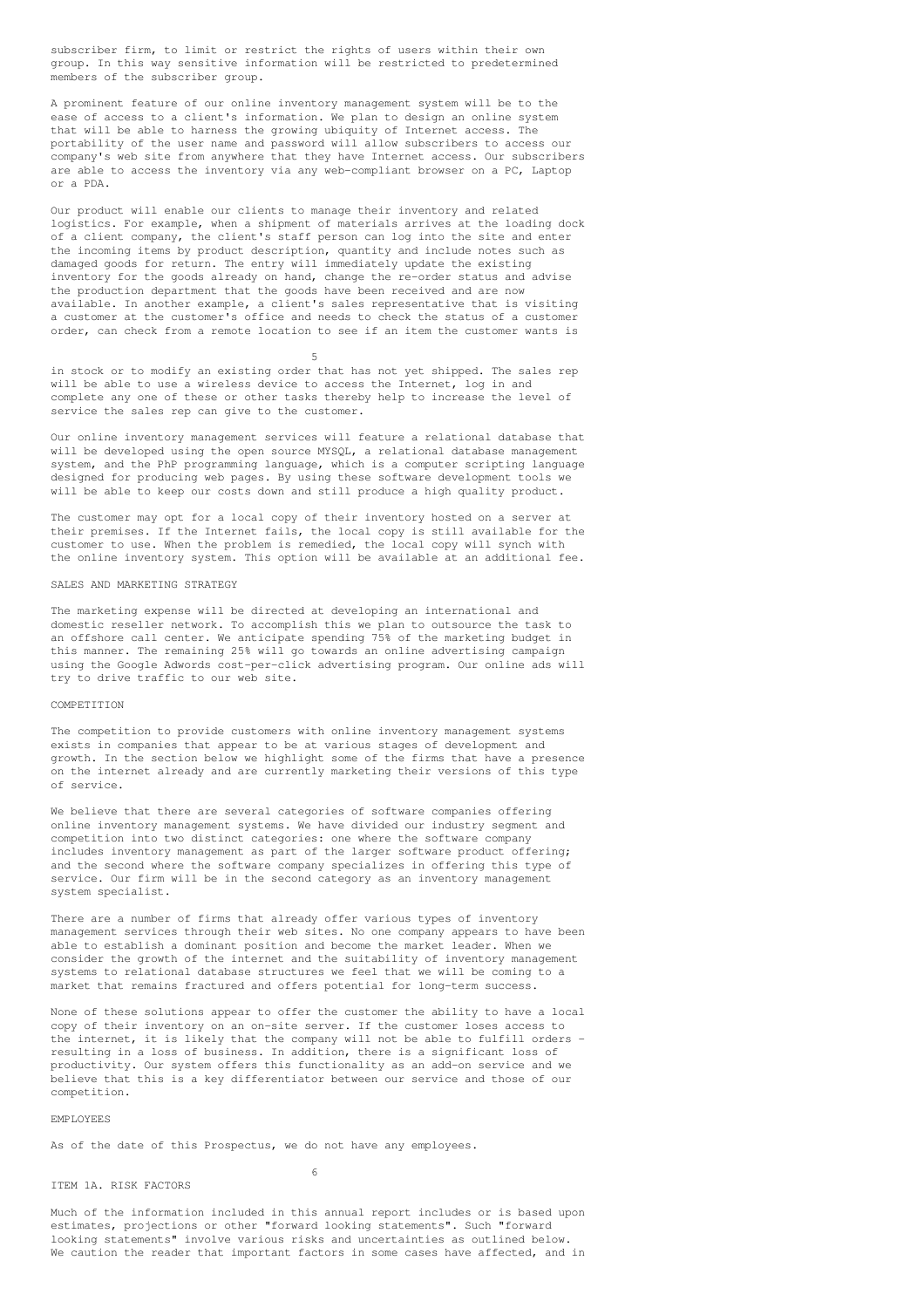subscriber firm, to limit or restrict the rights of users within their own group. In this way sensitive information will be restricted to predetermined members of the subscriber group.

A prominent feature of our online inventory management system will be to the ease of access to a client's information. We plan to design an online system that will be able to harness the growing ubiquity of Internet access. The portability of the user name and password will allow subscribers to access our company's web site from anywhere that they have Internet access. Our subscribers are able to access the inventory via any web-compliant browser on a PC, Laptop or a PDA.

Our product will enable our clients to manage their inventory and related logistics. For example, when a shipment of materials arrives at the loading dock of a client company, the client's staff person can log into the site and enter the incoming items by product description, quantity and include notes such as damaged goods for return. The entry will immediately update the existing inventory for the goods already on hand, change the re-order status and advise the production department that the goods have been received and are now available. In another example, a client's sales representative that is visiting a customer at the customer's office and needs to check the status of a customer order, can check from a remote location to see if an item the customer wants is

5

in stock or to modify an existing order that has not yet shipped. The sales rep will be able to use a wireless device to access the Internet, log in and complete any one of these or other tasks thereby help to increase the level of service the sales rep can give to the customer.

Our online inventory management services will feature a relational database that will be developed using the open source MYSQL, a relational database management system, and the PhP programming language, which is a computer scripting language designed for producing web pages. By using these software development tools we will be able to keep our costs down and still produce a high quality product.

The customer may opt for a local copy of their inventory hosted on a server at their premises. If the Internet fails, the local copy is still available for the customer to use. When the problem is remedied, the local copy will synch with the online inventory system. This option will be available at an additional fee.

## SALES AND MARKETING STRATEGY

The marketing expense will be directed at developing an international and domestic reseller network. To accomplish this we plan to outsource the task to an offshore call center. We anticipate spending 75% of the marketing budget in this manner. The remaining 25% will go towards an online advertising campaign using the Google Adwords cost-per-click advertising program. Our online ads will try to drive traffic to our web site.

### **COMPETITION**

The competition to provide customers with online inventory management systems exists in companies that appear to be at various stages of development and growth. In the section below we highlight some of the firms that have a presence on the internet already and are currently marketing their versions of this type of service.

We believe that there are several categories of software companies offering online inventory management systems. We have divided our industry segment and competition into two distinct categories: one where the software company includes inventory management as part of the larger software product offering: and the second where the software company specializes in offering this type of service. Our firm will be in the second category as an inventory management system specialist.

There are a number of firms that already offer various types of inventory management services through their web sites. No one company appears to have been able to establish a dominant position and become the market leader. When we consider the growth of the internet and the suitability of inventory management systems to relational database structures we feel that we will be coming to a market that remains fractured and offers potential for long-term success.

None of these solutions appear to offer the customer the ability to have a local copy of their inventory on an on-site server. If the customer loses access to the internet, it is likely that the company will not be able to fulfill orders resulting in a loss of business. In addition, there is a significant loss of productivity. Our system offers this functionality as an add-on service and we believe that this is a key differentiator between our service and those of our competition.

EMPLOYEES

As of the date of this Prospectus, we do not have any employees.

### ITEM 1A. RISK FACTORS

6

Much of the information included in this annual report includes or is based upon estimates, projections or other "forward looking statements". Such "forward looking statements" involve various risks and uncertainties as outlined below. We caution the reader that important factors in some cases have affected, and in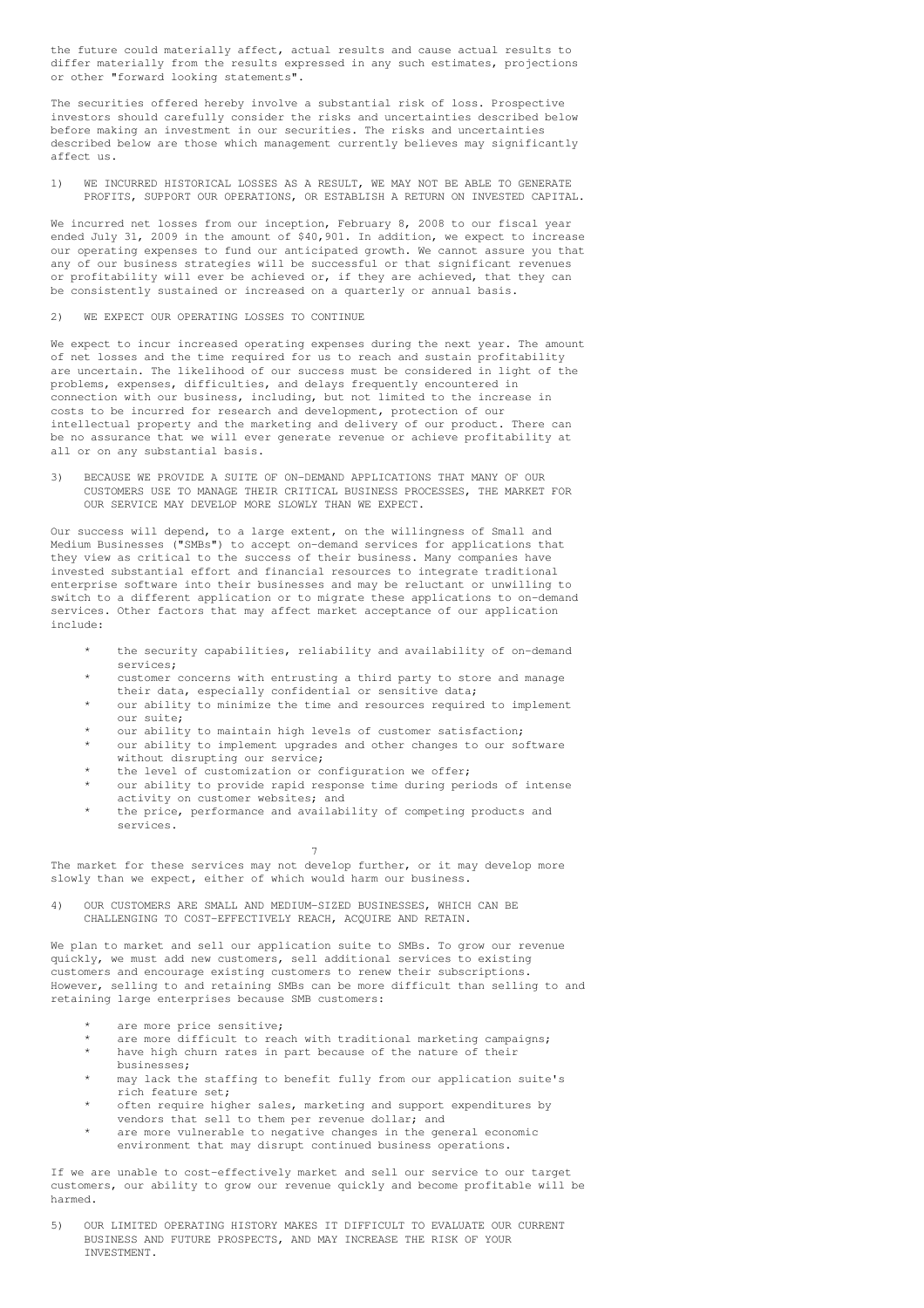the future could materially affect, actual results and cause actual results to differ materially from the results expressed in any such estimates, projections or other "forward looking statements".

The securities offered hereby involve a substantial risk of loss. Prospective investors should carefully consider the risks and uncertainties described below before making an investment in our securities. The risks and uncertainties described below are those which management currently believes may significantly affect us.

1) WE INCURRED HISTORICAL LOSSES AS A RESULT, WE MAY NOT BE ABLE TO GENERATE PROFITS, SUPPORT OUR OPERATIONS, OR ESTABLISH A RETURN ON INVESTED CAPITAL.

We incurred net losses from our inception, February 8, 2008 to our fiscal year ended July 31, 2009 in the amount of \$40,901. In addition, we expect to increase our operating expenses to fund our anticipated growth. We cannot assure you that any of our business strategies will be successful or that significant revenues or profitability will ever be achieved or, if they are achieved, that they can be consistently sustained or increased on a quarterly or annual basis.

### 2) WE EXPECT OUR OPERATING LOSSES TO CONTINUE

We expect to incur increased operating expenses during the next year. The amount of net losses and the time required for us to reach and sustain profitability are uncertain. The likelihood of our success must be considered in light of the problems, expenses, difficulties, and delays frequently encountered in connection with our business, including, but not limited to the increase in costs to be incurred for research and development, protection of our intellectual property and the marketing and delivery of our product. There can be no assurance that we will ever generate revenue or achieve profitability at all or on any substantial basis.

3) BECAUSE WE PROVIDE A SUITE OF ON-DEMAND APPLICATIONS THAT MANY OF OUR CUSTOMERS USE TO MANAGE THEIR CRITICAL BUSINESS PROCESSES, THE MARKET FOR OUR SERVICE MAY DEVELOP MORE SLOWLY THAN WE EXPECT.

Our success will depend, to a large extent, on the willingness of Small and Medium Businesses ("SMBs") to accept on-demand services for applications that they view as critical to the success of their business. Many companies have invested substantial effort and financial resources to integrate traditional enterprise software into their businesses and may be reluctant or unwilling to switch to a different application or to migrate these applications to on-demand services. Other factors that may affect market acceptance of our application include:

- the security capabilities, reliability and availability of on-demand services;
- customer concerns with entrusting a third party to store and manage their data, especially confidential or sensitive data;
- our ability to minimize the time and resources required to implement our suite;
- our ability to maintain high levels of customer satisfaction;
- our ability to implement upgrades and other changes to our software without disrupting our service;
- the level of customization or configuration we offer;
- our ability to provide rapid response time during periods of intense activity on customer websites; and
- the price, performance and availability of competing products and services.

7 The market for these services may not develop further, or it may develop more slowly than we expect, either of which would harm our business.

4) OUR CUSTOMERS ARE SMALL AND MEDIUM-SIZED BUSINESSES, WHICH CAN BE CHALLENGING TO COST-EFFECTIVELY REACH, ACQUIRE AND RETAIN.

We plan to market and sell our application suite to SMBs. To grow our revenue quickly, we must add new customers, sell additional services to existing customers and encourage existing customers to renew their subscriptions. However, selling to and retaining SMBs can be more difficult than selling to and retaining large enterprises because SMB customers:

- are more price sensitive;
- are more difficult to reach with traditional marketing campaigns;
- have high churn rates in part because of the nature of their businesses;
- may lack the staffing to benefit fully from our application suite's rich feature set;
- often require higher sales, marketing and support expenditures by vendors that sell to them per revenue dollar; and
- are more vulnerable to negative changes in the general economic environment that may disrupt continued business operations.

If we are unable to cost-effectively market and sell our service to our target customers, our ability to grow our revenue quickly and become profitable will be harmed.

5) OUR LIMITED OPERATING HISTORY MAKES IT DIFFICULT TO EVALUATE OUR CURRENT BUSINESS AND FUTURE PROSPECTS, AND MAY INCREASE THE RISK OF YOUR INVESTMENT.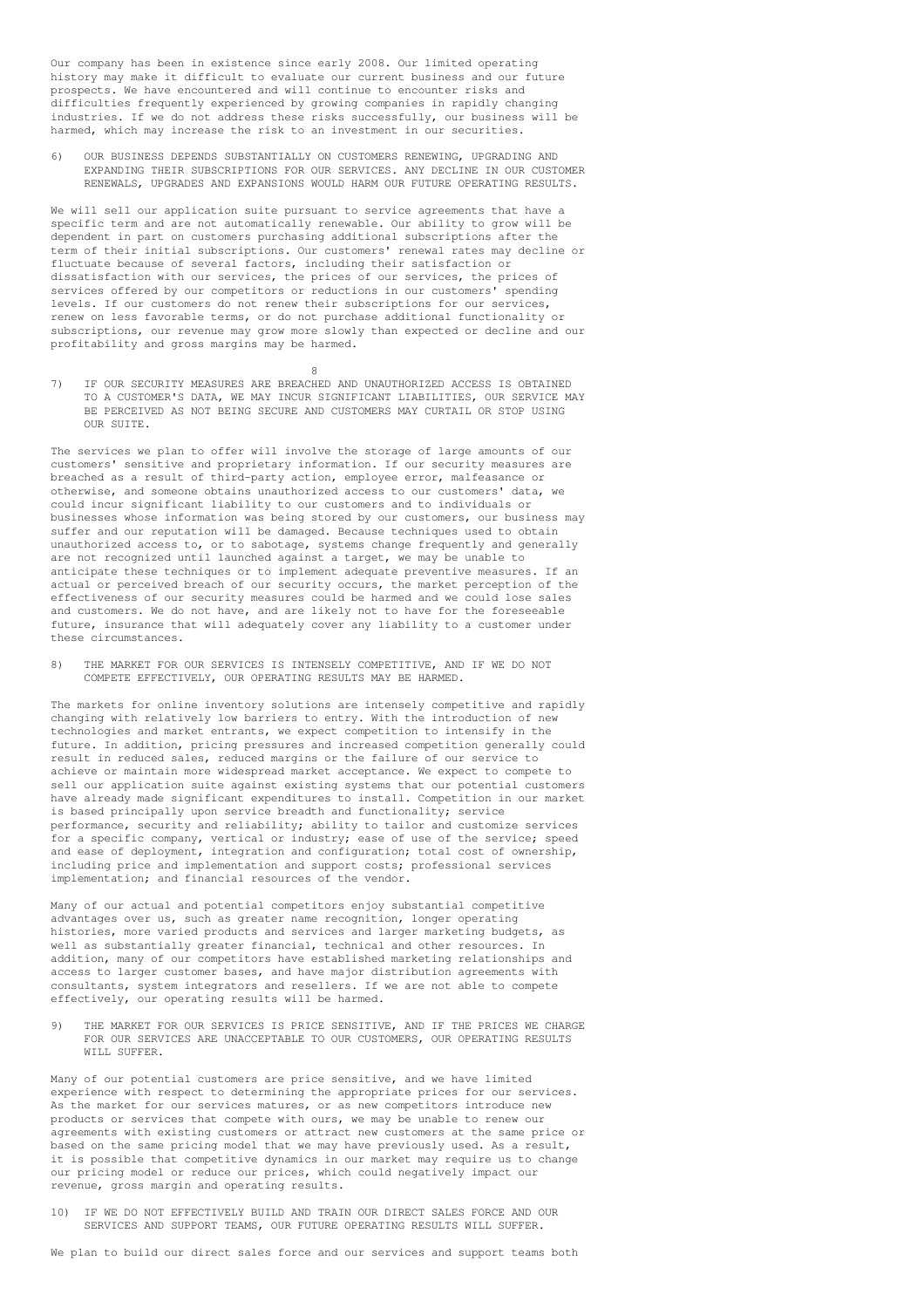Our company has been in existence since early 2008. Our limited operating history may make it difficult to evaluate our current business and our future prospects. We have encountered and will continue to encounter risks and difficulties frequently experienced by growing companies in rapidly changing industries. If we do not address these risks successfully, our business will be harmed, which may increase the risk to an investment in our securities.

6) OUR BUSINESS DEPENDS SUBSTANTIALLY ON CUSTOMERS RENEWING, UPGRADING AND EXPANDING THEIR SUBSCRIPTIONS FOR OUR SERVICES. ANY DECLINE IN OUR CUSTOMER RENEWALS, UPGRADES AND EXPANSIONS WOULD HARM OUR FUTURE OPERATING RESULTS.

We will sell our application suite pursuant to service agreements that have a specific term and are not automatically renewable. Our ability to grow will be dependent in part on customers purchasing additional subscriptions after the term of their initial subscriptions. Our customers' renewal rates may decline or fluctuate because of several factors, including their satisfaction or dissatisfaction with our services, the prices of our services, the prices of services offered by our competitors or reductions in our customers' spending levels. If our customers do not renew their subscriptions for our services, renew on less favorable terms, or do not purchase additional functionality or subscriptions, our revenue may grow more slowly than expected or decline and our profitability and gross margins may be harmed.

7) IF OUR SECURITY MEASURES ARE BREACHED AND UNAUTHORIZED ACCESS IS OBTAINED TO A CUSTOMER'S DATA, WE MAY INCUR SIGNIFICANT LIABILITIES, OUR SERVICE MAY BE PERCEIVED AS NOT BEING SECURE AND CUSTOMERS MAY CURTAIL OR STOP USING OUR SUITE.

 $\Omega$ 

The services we plan to offer will involve the storage of large amounts of our customers' sensitive and proprietary information. If our security measures are breached as a result of third-party action, employee error, malfeasance or otherwise, and someone obtains unauthorized access to our customers' data, we could incur significant liability to our customers and to individuals or businesses whose information was being stored by our customers, our business may suffer and our reputation will be damaged. Because techniques used to obtain unauthorized access to, or to sabotage, systems change frequently and generally are not recognized until launched against a target, we may be unable to anticipate these techniques or to implement adequate preventive measures. If an actual or perceived breach of our security occurs, the market perception of the effectiveness of our security measures could be harmed and we could lose sales and customers. We do not have, and are likely not to have for the foreseeable future, insurance that will adequately cover any liability to a customer under these circumstances.

8) THE MARKET FOR OUR SERVICES IS INTENSELY COMPETITIVE, AND IF WE DO NOT COMPETE EFFECTIVELY, OUR OPERATING RESULTS MAY BE HARMED.

The markets for online inventory solutions are intensely competitive and rapidly changing with relatively low barriers to entry. With the introduction of new technologies and market entrants, we expect competition to intensify in the future. In addition, pricing pressures and increased competition generally could result in reduced sales, reduced margins or the failure of our service to achieve or maintain more widespread market acceptance. We expect to compete to sell our application suite against existing systems that our potential customers have already made significant expenditures to install. Competition in our market is based principally upon service breadth and functionality; service performance, security and reliability; ability to tailor and customize services for a specific company, vertical or industry; ease of use of the service; speed and ease of deployment, integration and configuration; total cost of ownership, including price and implementation and support costs; professional services implementation; and financial resources of the vendor.

Many of our actual and potential competitors enjoy substantial competitive advantages over us, such as greater name recognition, longer operating histories, more varied products and services and larger marketing budgets, as well as substantially greater financial, technical and other resources. In addition, many of our competitors have established marketing relationships and access to larger customer bases, and have major distribution agreements with consultants, system integrators and resellers. If we are not able to compete effectively, our operating results will be harmed.

THE MARKET FOR OUR SERVICES IS PRICE SENSITIVE, AND IF THE PRICES WE CHARGE FOR OUR SERVICES ARE UNACCEPTABLE TO OUR CUSTOMERS, OUR OPERATING RESULTS WILL SUFFER.

Many of our potential customers are price sensitive, and we have limited experience with respect to determining the appropriate prices for our services. As the market for our services matures, or as new competitors introduce new products or services that compete with ours, we may be unable to renew our agreements with existing customers or attract new customers at the same price or based on the same pricing model that we may have previously used. As a result, it is possible that competitive dynamics in our market may require us to change our pricing model or reduce our prices, which could negatively impact our revenue, gross margin and operating results.

10) IF WE DO NOT EFFECTIVELY BUILD AND TRAIN OUR DIRECT SALES FORCE AND OUR SERVICES AND SUPPORT TEAMS, OUR FUTURE OPERATING RESULTS WILL SUFFER.

We plan to build our direct sales force and our services and support teams both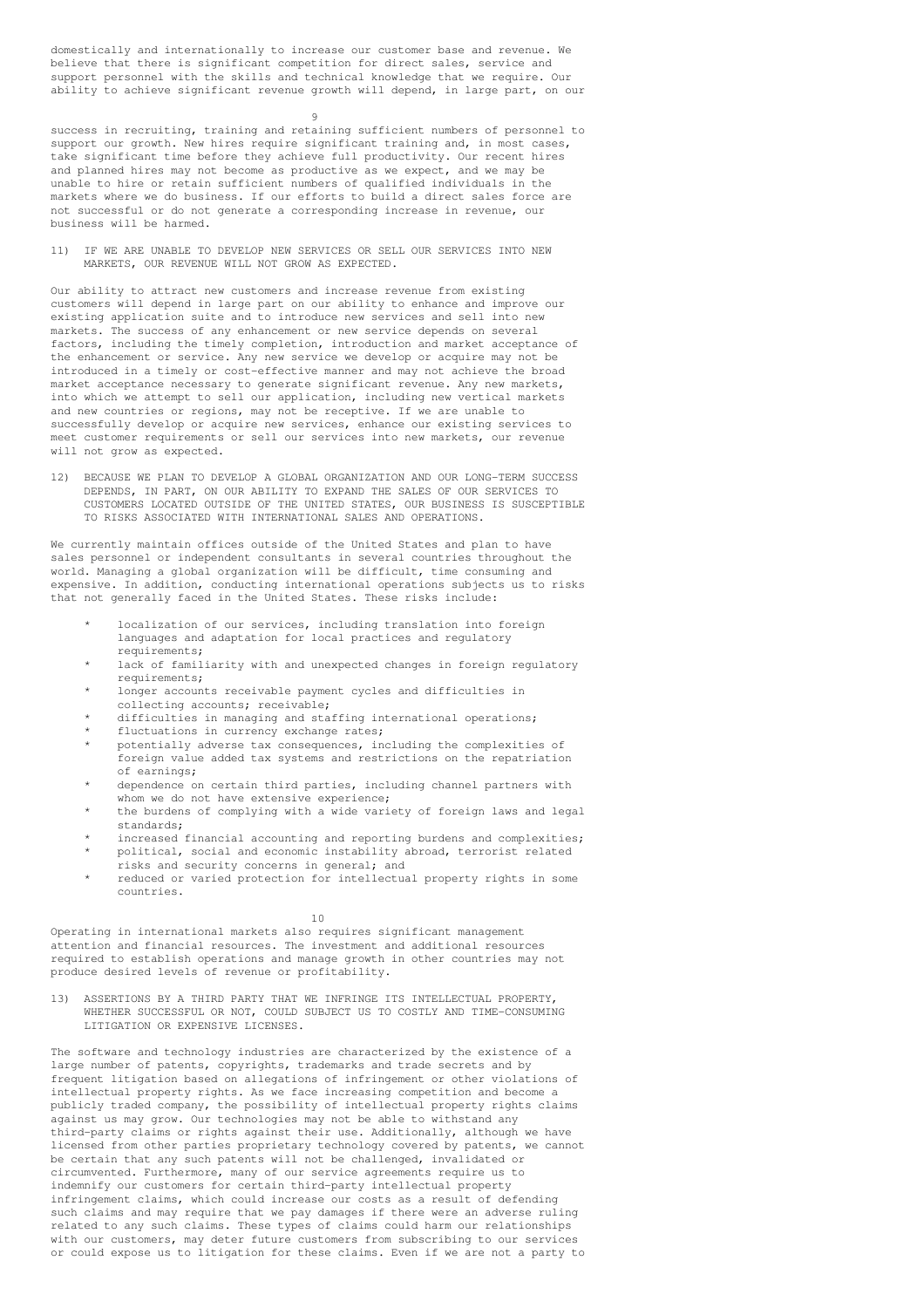domestically and internationally to increase our customer base and revenue. We believe that there is significant competition for direct sales, service and support personnel with the skills and technical knowledge that we require. Our ability to achieve significant revenue growth will depend, in large part, on our

 $\alpha$ 

success in recruiting, training and retaining sufficient numbers of personnel to support our growth. New hires require significant training and, in most cases, take significant time before they achieve full productivity. Our recent hires and planned hires may not become as productive as we expect, and we may be unable to hire or retain sufficient numbers of qualified individuals in the markets where we do business. If our efforts to build a direct sales force are not successful or do not generate a corresponding increase in revenue, our business will be harmed.

11) IF WE ARE UNABLE TO DEVELOP NEW SERVICES OR SELL OUR SERVICES INTO NEW MARKETS, OUR REVENUE WILL NOT GROW AS EXPECTED.

Our ability to attract new customers and increase revenue from existing customers will depend in large part on our ability to enhance and improve our existing application suite and to introduce new services and sell into new markets. The success of any enhancement or new service depends on several factors, including the timely completion, introduction and market acceptance of the enhancement or service. Any new service we develop or acquire may not be introduced in a timely or cost-effective manner and may not achieve the broad market acceptance necessary to generate significant revenue. Any new markets, into which we attempt to sell our application, including new vertical markets and new countries or regions, may not be receptive. If we are unable to successfully develop or acquire new services, enhance our existing services to meet customer requirements or sell our services into new markets, our revenue will not grow as expected.

12) BECAUSE WE PLAN TO DEVELOP A GLOBAL ORGANIZATION AND OUR LONG-TERM SUCCESS DEPENDS, IN PART, ON OUR ABILITY TO EXPAND THE SALES OF OUR SERVICES TO CUSTOMERS LOCATED OUTSIDE OF THE UNITED STATES, OUR BUSINESS IS SUSCEPTIBLE TO RISKS ASSOCIATED WITH INTERNATIONAL SALES AND OPERATIONS.

We currently maintain offices outside of the United States and plan to have sales personnel or independent consultants in several countries throughout the world. Managing a global organization will be difficult, time consuming and expensive. In addition, conducting international operations subjects us to risks that not generally faced in the United States. These risks include:

- localization of our services, including translation into foreign languages and adaptation for local practices and regulatory requirements;
- lack of familiarity with and unexpected changes in foreign regulatory requirements;
- longer accounts receivable payment cycles and difficulties in collecting accounts; receivable;
- difficulties in managing and staffing international operations;
- fluctuations in currency exchange rates;
- potentially adverse tax consequences, including the complexities of foreign value added tax systems and restrictions on the repatriation of earnings;
- dependence on certain third parties, including channel partners with whom we do not have extensive experience;
- the burdens of complying with a wide variety of foreign laws and legal standards;
- increased financial accounting and reporting burdens and complexities; political, social and economic instability abroad, terrorist related risks and security concerns in general; and
- reduced or varied protection for intellectual property rights in some countries.

10

Operating in international markets also requires significant management attention and financial resources. The investment and additional resources required to establish operations and manage growth in other countries may not produce desired levels of revenue or profitability.

13) ASSERTIONS BY A THIRD PARTY THAT WE INFRINGE ITS INTELLECTUAL PROPERTY, WHETHER SUCCESSFUL OR NOT, COULD SUBJECT US TO COSTLY AND TIME-CONSUMING LITIGATION OR EXPENSIVE LICENSES.

The software and technology industries are characterized by the existence of a large number of patents, copyrights, trademarks and trade secrets and by frequent litigation based on allegations of infringement or other violations of intellectual property rights. As we face increasing competition and become a publicly traded company, the possibility of intellectual property rights claims against us may grow. Our technologies may not be able to withstand any third-party claims or rights against their use. Additionally, although we have licensed from other parties proprietary technology covered by patents, we cannot be certain that any such patents will not be challenged, invalidated or circumvented. Furthermore, many of our service agreements require us to indemnify our customers for certain third-party intellectual property infringement claims, which could increase our costs as a result of defending such claims and may require that we pay damages if there were an adverse ruling related to any such claims. These types of claims could harm our relationships with our customers, may deter future customers from subscribing to our services or could expose us to litigation for these claims. Even if we are not a party to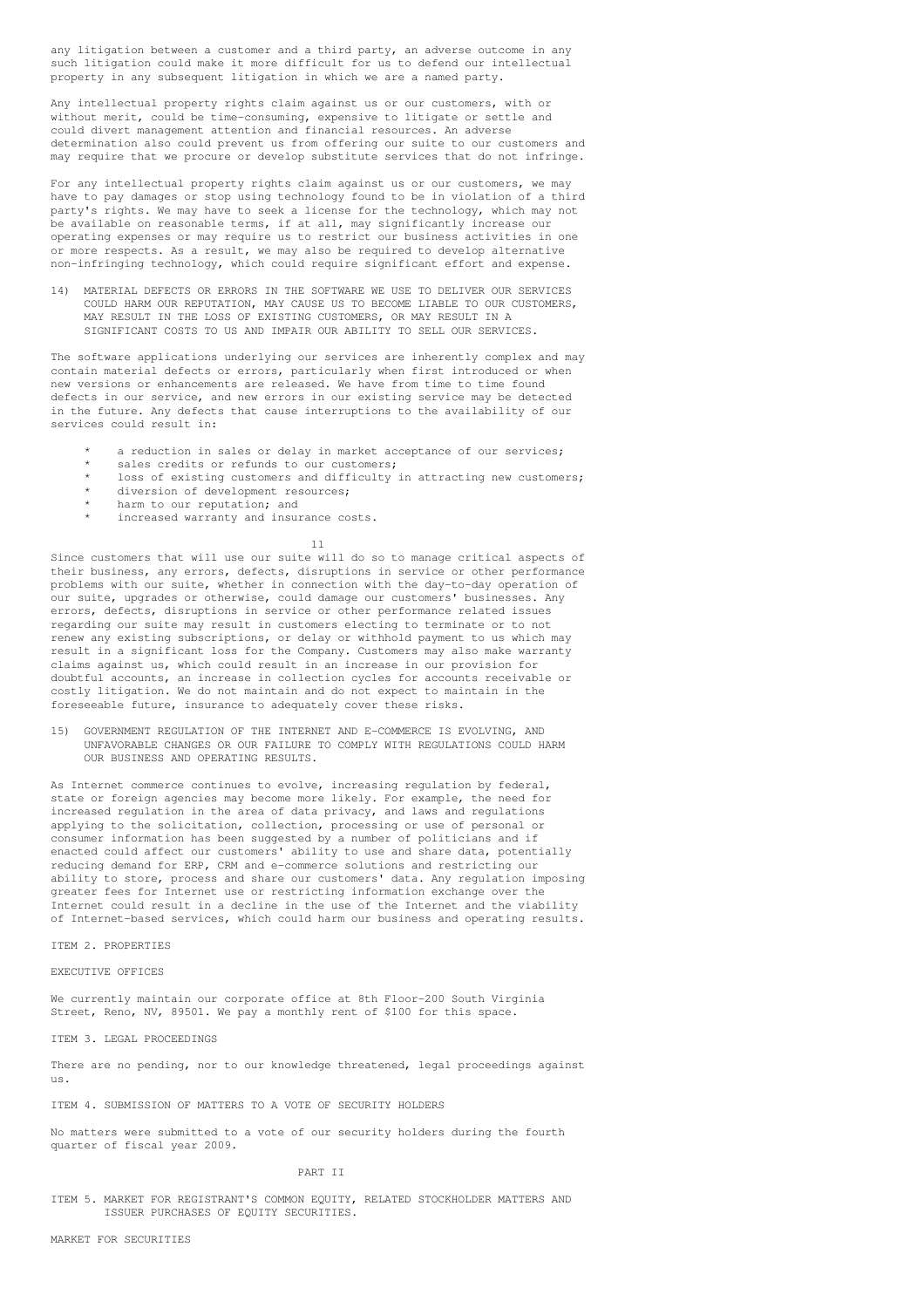any litigation between a customer and a third party, an adverse outcome in any such litigation could make it more difficult for us to defend our intellectual property in any subsequent litigation in which we are a named party.

Any intellectual property rights claim against us or our customers, with or without merit, could be time-consuming, expensive to litigate or settle and could divert management attention and financial resources. An adverse determination also could prevent us from offering our suite to our customers and may require that we procure or develop substitute services that do not infringe.

For any intellectual property rights claim against us or our customers, we may have to pay damages or stop using technology found to be in violation of a third party's rights. We may have to seek a license for the technology, which may not be available on reasonable terms, if at all, may significantly increase our operating expenses or may require us to restrict our business activities in one or more respects. As a result, we may also be required to develop alternative non-infringing technology, which could require significant effort and expense.

14) MATERIAL DEFECTS OR ERRORS IN THE SOFTWARE WE USE TO DELIVER OUR SERVICES COULD HARM OUR REPUTATION, MAY CAUSE US TO BECOME LIABLE TO OUR CUSTOMERS, MAY RESULT IN THE LOSS OF EXISTING CUSTOMERS, OR MAY RESULT IN A SIGNIFICANT COSTS TO US AND IMPAIR OUR ABILITY TO SELL OUR SERVICES.

The software applications underlying our services are inherently complex and may contain material defects or errors, particularly when first introduced or when new versions or enhancements are released. We have from time to time found defects in our service, and new errors in our existing service may be detected in the future. Any defects that cause interruptions to the availability of our services could result in:

- a reduction in sales or delay in market acceptance of our services;
- sales credits or refunds to our customers;
- loss of existing customers and difficulty in attracting new customers;
- diversion of development resources;
- harm to our reputation; and
- increased warranty and insurance costs.

11

Since customers that will use our suite will do so to manage critical aspects of their business, any errors, defects, disruptions in service or other performance problems with our suite, whether in connection with the day-to-day operation of our suite, upgrades or otherwise, could damage our customers' businesses. Any errors, defects, disruptions in service or other performance related issues regarding our suite may result in customers electing to terminate or to not renew any existing subscriptions, or delay or withhold payment to us which may result in a significant loss for the Company. Customers may also make warranty claims against us, which could result in an increase in our provision for doubtful accounts, an increase in collection cycles for accounts receivable or costly litigation. We do not maintain and do not expect to maintain in the foreseeable future, insurance to adequately cover these risks.

15) GOVERNMENT REGULATION OF THE INTERNET AND E-COMMERCE IS EVOLVING, AND UNFAVORABLE CHANGES OR OUR FAILURE TO COMPLY WITH REGULATIONS COULD HARM OUR BUSINESS AND OPERATING RESULTS.

As Internet commerce continues to evolve, increasing regulation by federal, state or foreign agencies may become more likely. For example, the need for increased regulation in the area of data privacy, and laws and regulations applying to the solicitation, collection, processing or use of personal or consumer information has been suggested by a number of politicians and if enacted could affect our customers' ability to use and share data, potentially reducing demand for ERP, CRM and e-commerce solutions and restricting our ability to store, process and share our customers' data. Any regulation imposing greater fees for Internet use or restricting information exchange over the Internet could result in a decline in the use of the Internet and the viability of Internet-based services, which could harm our business and operating results.

ITEM 2. PROPERTIES

EXECUTIVE OFFICES

We currently maintain our corporate office at 8th Floor-200 South Virginia Street, Reno, NV, 89501. We pay a monthly rent of \$100 for this space.

ITEM 3. LEGAL PROCEEDINGS

There are no pending, nor to our knowledge threatened, legal proceedings against  $11S.$ 

ITEM 4. SUBMISSION OF MATTERS TO A VOTE OF SECURITY HOLDERS

No matters were submitted to a vote of our security holders during the fourth quarter of fiscal year 2009.

PART II

ITEM 5. MARKET FOR REGISTRANT'S COMMON EQUITY, RELATED STOCKHOLDER MATTERS AND ISSUER PURCHASES OF EQUITY SECURITIES.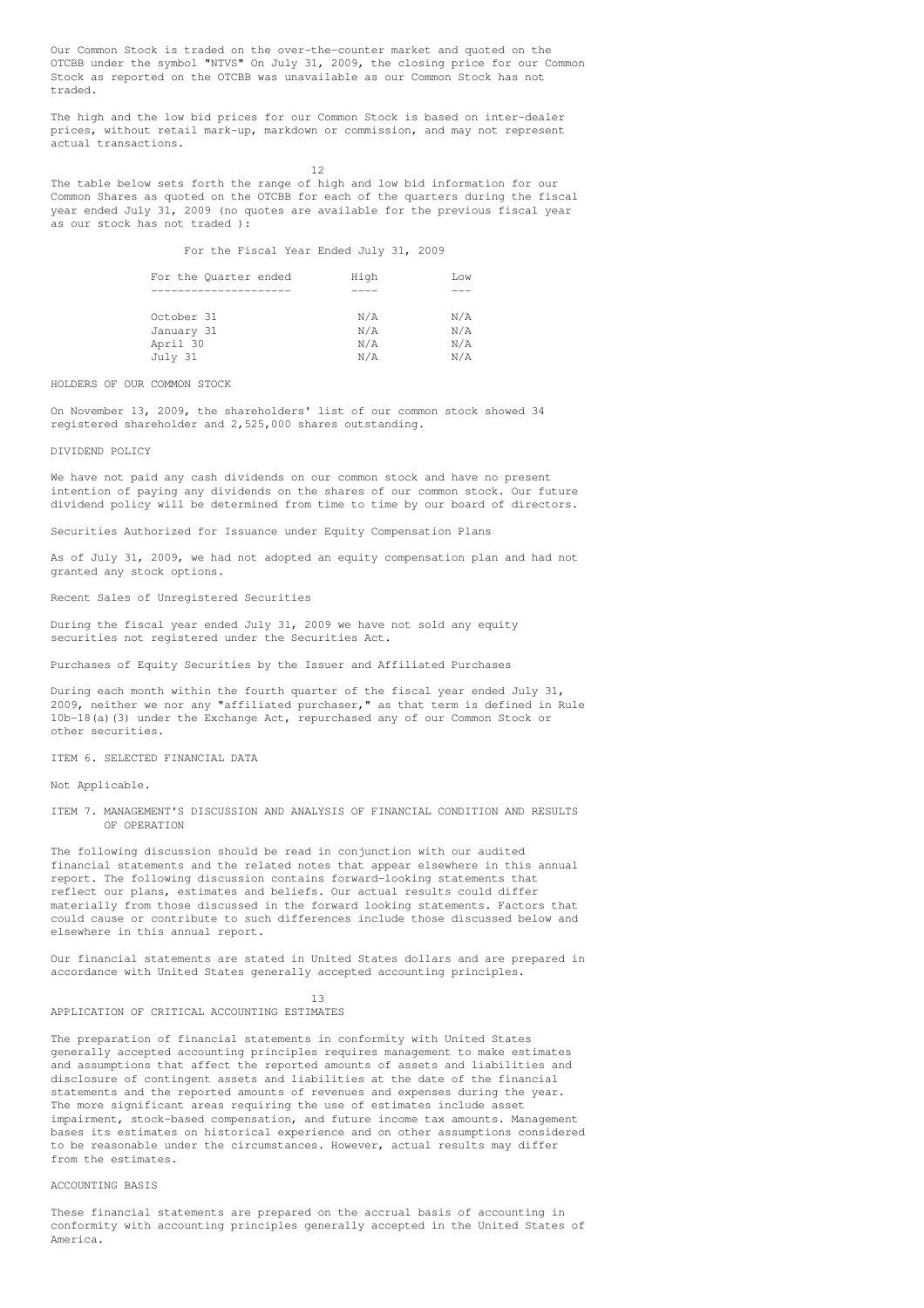Our Common Stock is traded on the over-the-counter market and quoted on the OTCBB under the symbol "NTVS" On July 31, 2009, the closing price for our Common Stock as reported on the OTCBB was unavailable as our Common Stock has not traded.

The high and the low bid prices for our Common Stock is based on inter-dealer prices, without retail mark-up, markdown or commission, and may not represent actual transactions.

12

The table below sets forth the range of high and low bid information for our Common Shares as quoted on the OTCBB for each of the quarters during the fiscal year ended July 31, 2009 (no quotes are available for the previous fiscal year as our stock has not traded ):

For the Fiscal Year Ended July 31, 2009

| For the Quarter ended | High | Low |
|-----------------------|------|-----|
|                       |      |     |
| October 31            | N/A  | N/A |
| January 31            | N/A  | N/A |
| April 30              | N/A  | N/A |
| July 31               | N/A  | N/A |

HOLDERS OF OUR COMMON STOCK

On November 13, 2009, the shareholders' list of our common stock showed 34 registered shareholder and 2,525,000 shares outstanding.

## DIVIDEND POLICY

We have not paid any cash dividends on our common stock and have no present intention of paying any dividends on the shares of our common stock. Our future dividend policy will be determined from time to time by our board of directors.

Securities Authorized for Issuance under Equity Compensation Plans

As of July 31, 2009, we had not adopted an equity compensation plan and had not granted any stock options.

Recent Sales of Unregistered Securities

During the fiscal year ended July 31, 2009 we have not sold any equity securities not registered under the Securities Act.

Purchases of Equity Securities by the Issuer and Affiliated Purchases

During each month within the fourth quarter of the fiscal year ended July 31, 2009, neither we nor any "affiliated purchaser," as that term is defined in Rule 10b-18(a)(3) under the Exchange Act, repurchased any of our Common Stock or other securities.

ITEM 6. SELECTED FINANCIAL DATA

Not Applicable.

ITEM 7. MANAGEMENT'S DISCUSSION AND ANALYSIS OF FINANCIAL CONDITION AND RESULTS OF OPERATION

The following discussion should be read in conjunction with our audited financial statements and the related notes that appear elsewhere in this annual report. The following discussion contains forward-looking statements that reflect our plans, estimates and beliefs. Our actual results could differ materially from those discussed in the forward looking statements. Factors that could cause or contribute to such differences include those discussed below and elsewhere in this annual report.

Our financial statements are stated in United States dollars and are prepared in accordance with United States generally accepted accounting principles.

13 APPLICATION OF CRITICAL ACCOUNTING ESTIMATES

The preparation of financial statements in conformity with United States generally accepted accounting principles requires management to make estimates and assumptions that affect the reported amounts of assets and liabilities and disclosure of contingent assets and liabilities at the date of the financial statements and the reported amounts of revenues and expenses during the year. The more significant areas requiring the use of estimates include asset impairment, stock-based compensation, and future income tax amounts. Management bases its estimates on historical experience and on other assumptions considered to be reasonable under the circumstances. However, actual results may differ from the estimates.

## ACCOUNTING BASIS

These financial statements are prepared on the accrual basis of accounting in conformity with accounting principles generally accepted in the United States of America.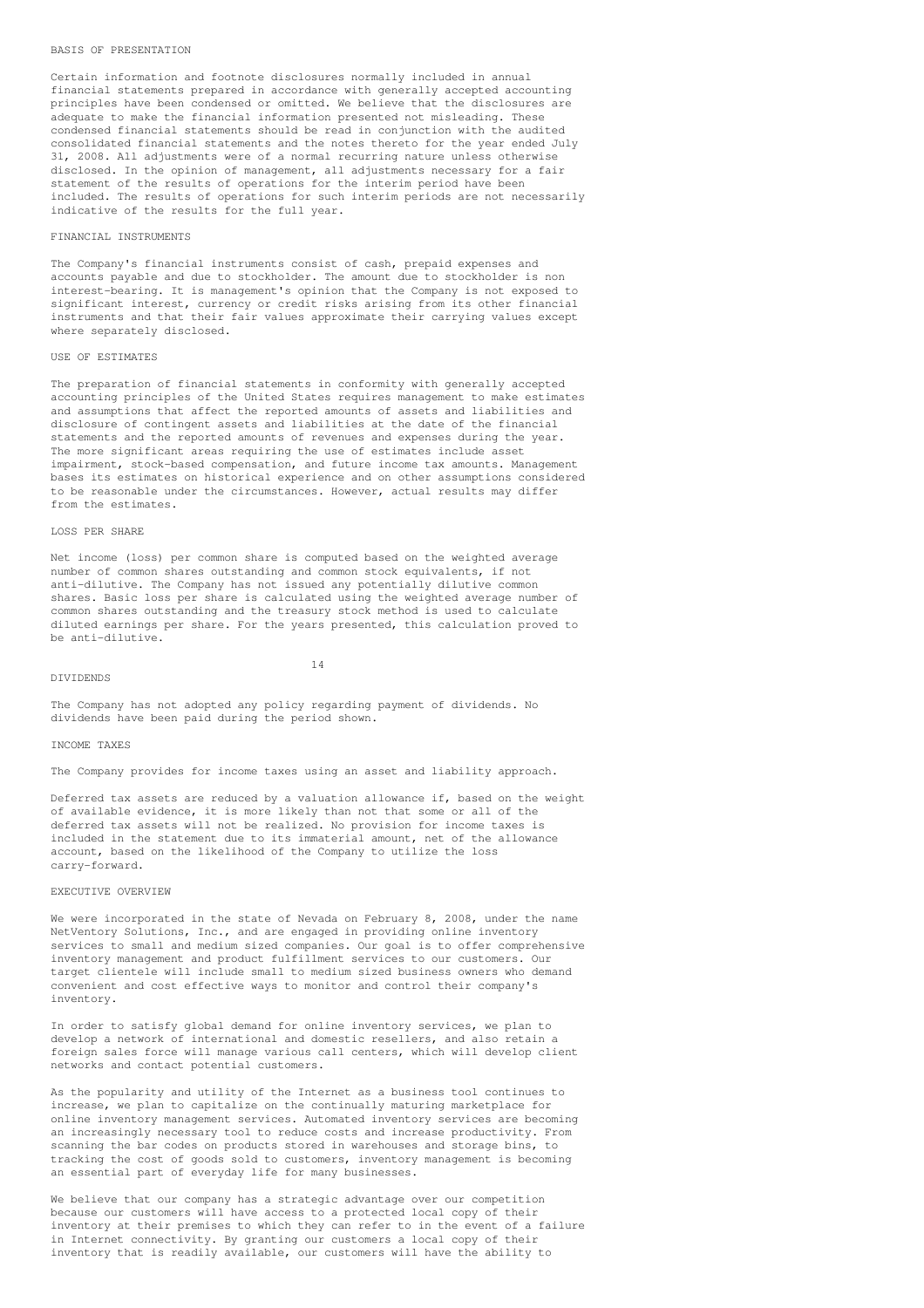#### BASIS OF PRESENTATION

Certain information and footnote disclosures normally included in annual financial statements prepared in accordance with generally accepted accounting principles have been condensed or omitted. We believe that the disclosures are adequate to make the financial information presented not misleading. These condensed financial statements should be read in conjunction with the audited consolidated financial statements and the notes thereto for the year ended July 31, 2008. All adjustments were of a normal recurring nature unless otherwise disclosed. In the opinion of management, all adjustments necessary for a fair statement of the results of operations for the interim period have been included. The results of operations for such interim periods are not necessarily indicative of the results for the full year.

### FINANCIAL INSTRUMENTS

The Company's financial instruments consist of cash, prepaid expenses and accounts payable and due to stockholder. The amount due to stockholder is non interest-bearing. It is management's opinion that the Company is not exposed to significant interest, currency or credit risks arising from its other financial instruments and that their fair values approximate their carrying values except where separately disclosed.

## USE OF ESTIMATES

The preparation of financial statements in conformity with generally accepted accounting principles of the United States requires management to make estimates and assumptions that affect the reported amounts of assets and liabilities and disclosure of contingent assets and liabilities at the date of the financial statements and the reported amounts of revenues and expenses during the year. The more significant areas requiring the use of estimates include asset impairment, stock-based compensation, and future income tax amounts. Management bases its estimates on historical experience and on other assumptions considered to be reasonable under the circumstances. However, actual results may differ from the estimates.

### LOSS PER SHARE

Net income (loss) per common share is computed based on the weighted average number of common shares outstanding and common stock equivalents, if not anti-dilutive. The Company has not issued any potentially dilutive common shares. Basic loss per share is calculated using the weighted average number of common shares outstanding and the treasury stock method is used to calculate diluted earnings per share. For the years presented, this calculation proved to be anti-dilutive.

### DIVIDENDS

14

The Company has not adopted any policy regarding payment of dividends. No dividends have been paid during the period shown.

## INCOME TAXES

The Company provides for income taxes using an asset and liability approach.

Deferred tax assets are reduced by a valuation allowance if, based on the weight of available evidence, it is more likely than not that some or all of the deferred tax assets will not be realized. No provision for income taxes is included in the statement due to its immaterial amount, net of the allowance account, based on the likelihood of the Company to utilize the loss carry-forward.

### EXECUTIVE OVERVIEW

We were incorporated in the state of Nevada on February 8, 2008, under the name NetVentory Solutions, Inc., and are engaged in providing online inventory services to small and medium sized companies. Our goal is to offer comprehensive inventory management and product fulfillment services to our customers. Our target clientele will include small to medium sized business owners who demand convenient and cost effective ways to monitor and control their company's inventory.

In order to satisfy global demand for online inventory services, we plan to develop a network of international and domestic resellers, and also retain a foreign sales force will manage various call centers, which will develop client networks and contact potential customers.

As the popularity and utility of the Internet as a business tool continues to increase, we plan to capitalize on the continually maturing marketplace for online inventory management services. Automated inventory services are becoming an increasingly necessary tool to reduce costs and increase productivity. From scanning the bar codes on products stored in warehouses and storage bins, to tracking the cost of goods sold to customers, inventory management is becoming an essential part of everyday life for many businesses.

We believe that our company has a strategic advantage over our competition because our customers will have access to a protected local copy of their inventory at their premises to which they can refer to in the event of a failure in Internet connectivity. By granting our customers a local copy of their inventory that is readily available, our customers will have the ability to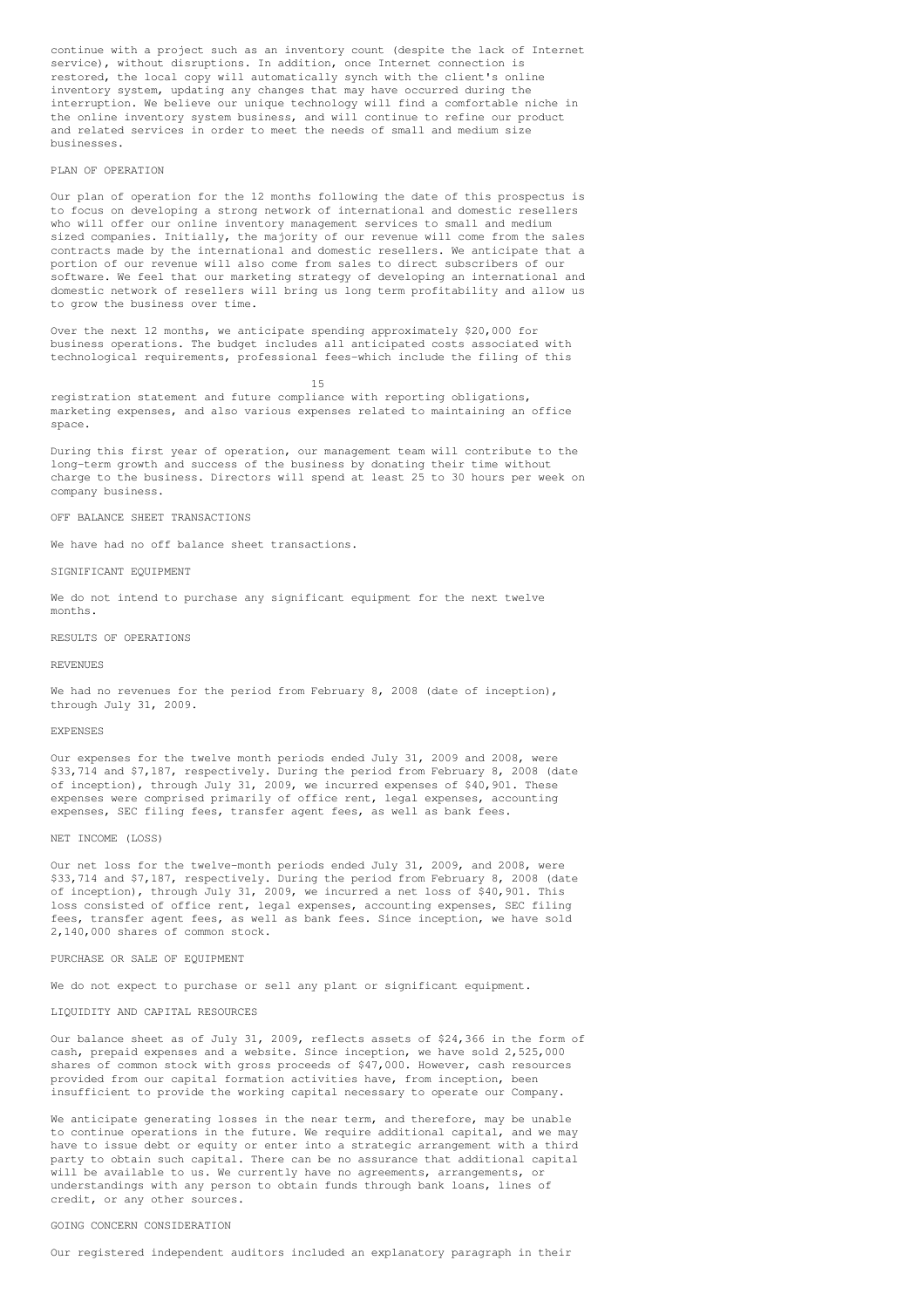continue with a project such as an inventory count (despite the lack of Internet service), without disruptions. In addition, once Internet connection is restored, the local copy will automatically synch with the client's online inventory system, updating any changes that may have occurred during the interruption. We believe our unique technology will find a comfortable niche in the online inventory system business, and will continue to refine our product and related services in order to meet the needs of small and medium size businesses.

## PLAN OF OPERATION

Our plan of operation for the 12 months following the date of this prospectus is to focus on developing a strong network of international and domestic resellers who will offer our online inventory management services to small and medium sized companies. Initially, the majority of our revenue will come from the sales contracts made by the international and domestic resellers. We anticipate that a portion of our revenue will also come from sales to direct subscribers of our software. We feel that our marketing strategy of developing an international and domestic network of resellers will bring us long term profitability and allow us to grow the business over time.

Over the next 12 months, we anticipate spending approximately \$20,000 for business operations. The budget includes all anticipated costs associated with technological requirements, professional fees-which include the filing of this

15 registration statement and future compliance with reporting obligations, marketing expenses, and also various expenses related to maintaining an office space.

During this first year of operation, our management team will contribute to the long-term growth and success of the business by donating their time without charge to the business. Directors will spend at least 25 to 30 hours per week on company business.

OFF BALANCE SHEET TRANSACTIONS

We have had no off balance sheet transactions.

## SIGNIFICANT EQUIPMENT

We do not intend to purchase any significant equipment for the next twelve months.

RESULTS OF OPERATIONS

#### REVENUES

We had no revenues for the period from February 8, 2008 (date of inception), through July 31, 2009.

#### EXPENSES

Our expenses for the twelve month periods ended July 31, 2009 and 2008, were \$33,714 and \$7,187, respectively. During the period from February 8, 2008 (date of inception), through July 31, 2009, we incurred expenses of \$40,901. These expenses were comprised primarily of office rent, legal expenses, accounting expenses, SEC filing fees, transfer agent fees, as well as bank fees.

## NET INCOME (LOSS)

Our net loss for the twelve-month periods ended July 31, 2009, and 2008, were \$33,714 and \$7,187, respectively. During the period from February 8, 2008 (date of inception), through July 31, 2009, we incurred a net loss of \$40,901. This loss consisted of office rent, legal expenses, accounting expenses, SEC filing fees, transfer agent fees, as well as bank fees. Since inception, we have sold 2,140,000 shares of common stock.

PURCHASE OR SALE OF EQUIPMENT

We do not expect to purchase or sell any plant or significant equipment.

## LIQUIDITY AND CAPITAL RESOURCES

Our balance sheet as of July 31, 2009, reflects assets of \$24,366 in the form of cash, prepaid expenses and a website. Since inception, we have sold 2,525,000 shares of common stock with gross proceeds of \$47,000. However, cash resources provided from our capital formation activities have, from inception, been insufficient to provide the working capital necessary to operate our Company.

We anticipate generating losses in the near term, and therefore, may be unable to continue operations in the future. We require additional capital, and we may have to issue debt or equity or enter into a strategic arrangement with a third party to obtain such capital. There can be no assurance that additional capital will be available to us. We currently have no agreements, arrangements, or understandings with any person to obtain funds through bank loans, lines of credit, or any other sources.

## GOING CONCERN CONSIDERATION

Our registered independent auditors included an explanatory paragraph in their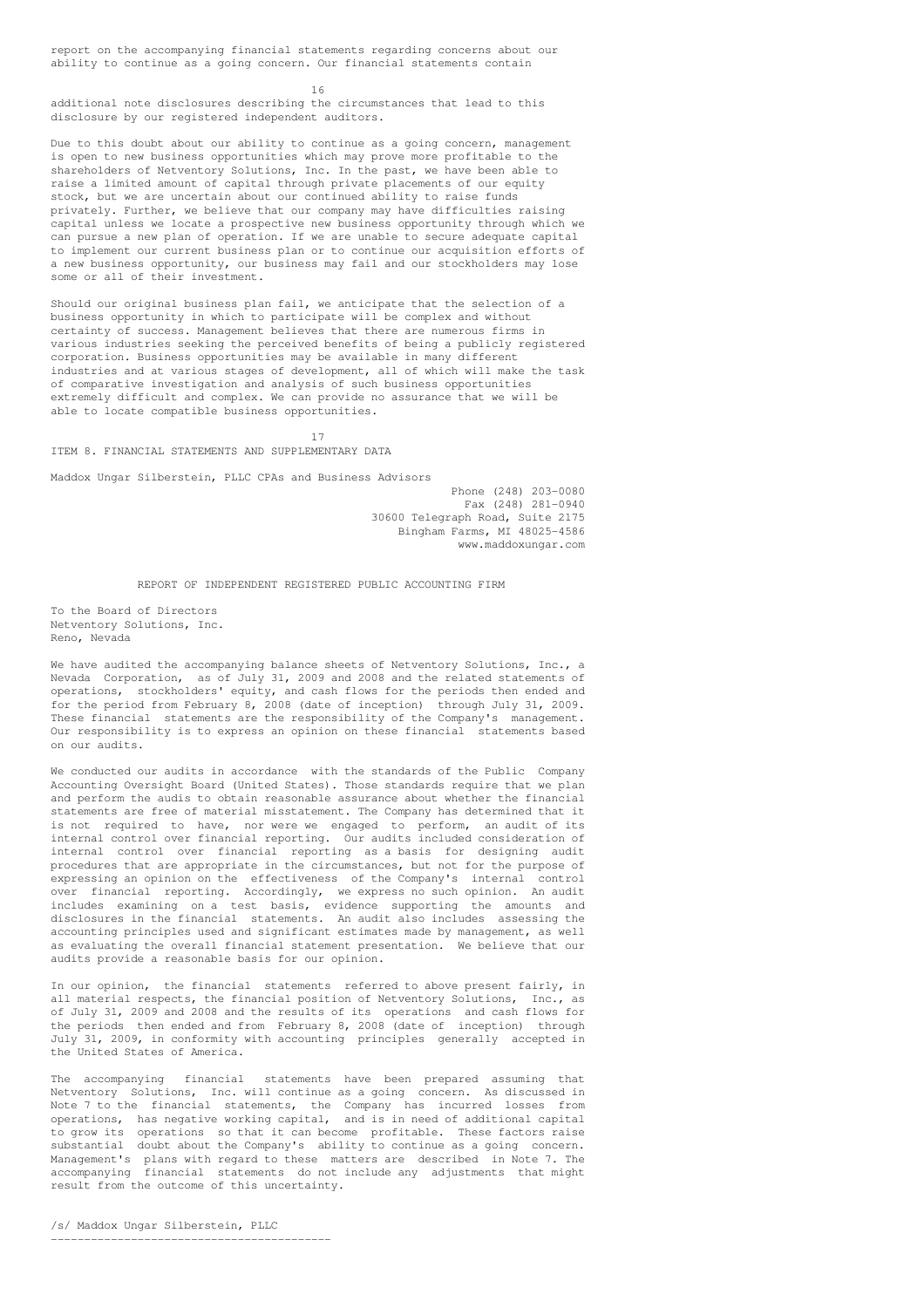report on the accompanying financial statements regarding concerns about our ability to continue as a going concern. Our financial statements contain

16

additional note disclosures describing the circumstances that lead to this disclosure by our registered independent auditors.

Due to this doubt about our ability to continue as a going concern, management is open to new business opportunities which may prove more profitable to the shareholders of Netventory Solutions, Inc. In the past, we have been able to raise a limited amount of capital through private placements of our equity stock, but we are uncertain about our continued ability to raise funds privately. Further, we believe that our company may have difficulties raising capital unless we locate a prospective new business opportunity through which we can pursue a new plan of operation. If we are unable to secure adequate capital to implement our current business plan or to continue our acquisition efforts of a new business opportunity, our business may fail and our stockholders may lose some or all of their investment.

Should our original business plan fail, we anticipate that the selection of a business opportunity in which to participate will be complex and without certainty of success. Management believes that there are numerous firms in various industries seeking the perceived benefits of being a publicly registered corporation. Business opportunities may be available in many different industries and at various stages of development, all of which will make the task of comparative investigation and analysis of such business opportunities extremely difficult and complex. We can provide no assurance that we will be able to locate compatible business opportunities.

17 ITEM 8. FINANCIAL STATEMENTS AND SUPPLEMENTARY DATA

Maddox Ungar Silberstein, PLLC CPAs and Business Advisors

Phone (248) 203-0080 Fax (248) 281-0940 30600 Telegraph Road, Suite 2175 Bingham Farms, MI 48025-4586 www.maddoxungar.com

REPORT OF INDEPENDENT REGISTERED PUBLIC ACCOUNTING FIRM

To the Board of Directors Netventory Solutions, Inc. Reno, Nevada

We have audited the accompanying balance sheets of Netventory Solutions, Inc., a Nevada Corporation, as of July 31, 2009 and 2008 and the related statements of operations, stockholders' equity, and cash flows for the periods then ended and for the period from February 8, 2008 (date of inception) through July 31, 2009. These financial statements are the responsibility of the Company's management. Our responsibility is to express an opinion on these financial statements based on our audits.

We conducted our audits in accordance with the standards of the Public Company Accounting Oversight Board (United States). Those standards require that we plan and perform the audis to obtain reasonable assurance about whether the financial statements are free of material misstatement. The Company has determined that it is not required to have, nor were we engaged to perform, an audit of its internal control over financial reporting. Our audits included consideration of internal control over financial reporting as a basis for designing audit procedures that are appropriate in the circumstances, but not for the purpose of expressing an opinion on the effectiveness of the Company's internal control over financial reporting. Accordingly, we express no such opinion. An audit includes examining on a test basis, evidence supporting the amounts and disclosures in the financial statements. An audit also includes assessing the accounting principles used and significant estimates made by management, as well as evaluating the overall financial statement presentation. We believe that our audits provide a reasonable basis for our opinion.

In our opinion, the financial statements referred to above present fairly, in all material respects, the financial position of Netventory Solutions, Inc., as of July 31, 2009 and 2008 and the results of its operations and cash flows for the periods then ended and from February 8, 2008 (date of inception) through July 31, 2009, in conformity with accounting principles generally accepted in the United States of America.

The accompanying financial statements have been prepared assuming that Netventory Solutions, Inc. will continue as a going concern. As discussed in Note 7 to the financial statements, the Company has incurred losses from operations, has negative working capital, and is in need of additional capital to grow its operations so that it can become profitable. These factors raise substantial doubt about the Company's ability to continue as a going concern. Management's plans with regard to these matters are described in Note 7. The accompanying financial statements do not include any adjustments that might result from the outcome of this uncertainty.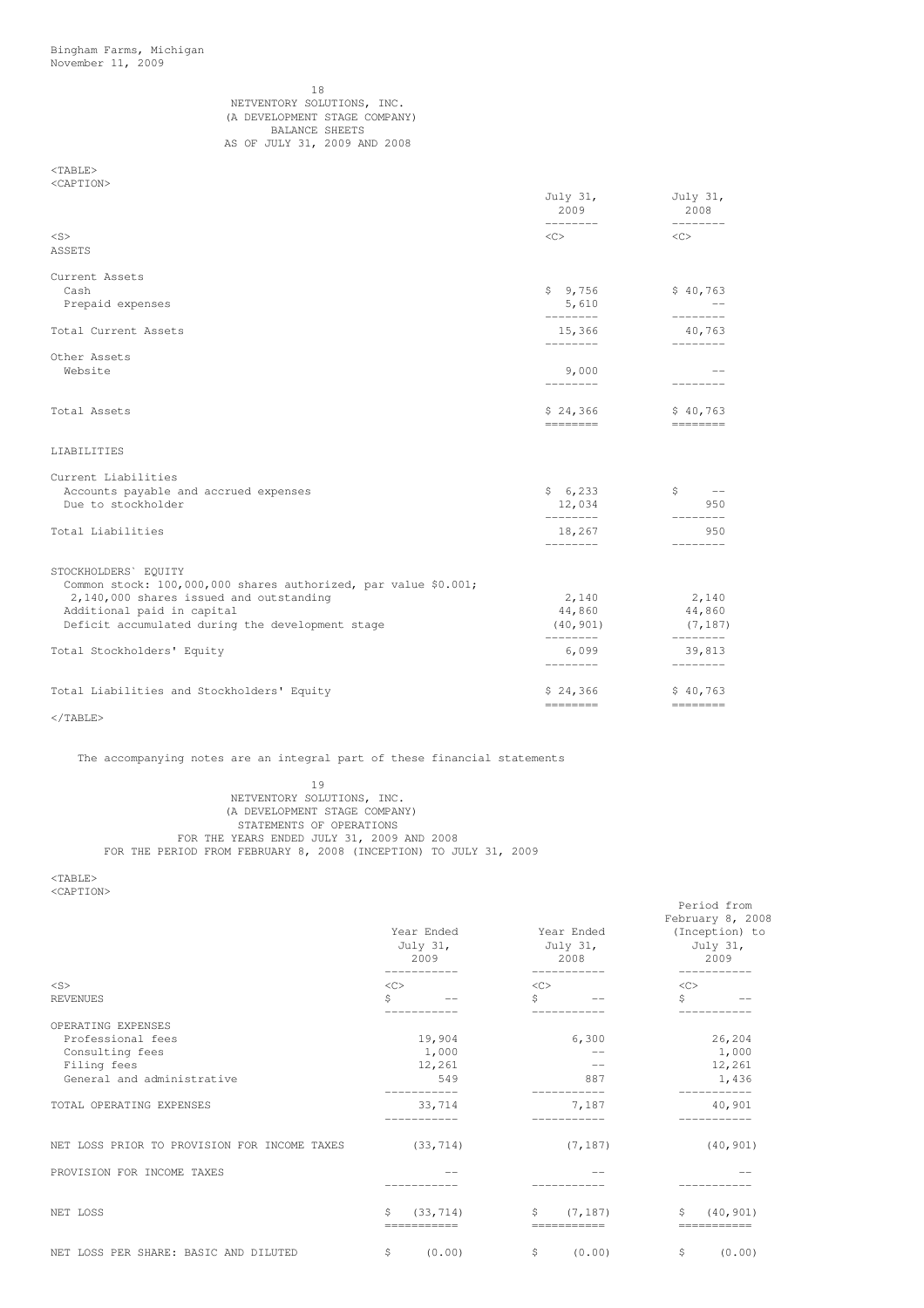## 18 NETVENTORY SOLUTIONS, INC. (A DEVELOPMENT STAGE COMPANY) BALANCE SHEETS AS OF JULY 31, 2009 AND 2008

## <TABLE> <CAPTION>

|                                                                                         | July 31,<br>2009<br>---------                                                                                                                                                                                                                                                                                                                                                                                                                                                      | July 31,<br>2008<br>---------                                                                                                                                                                                                                                                                                                                         |
|-----------------------------------------------------------------------------------------|------------------------------------------------------------------------------------------------------------------------------------------------------------------------------------------------------------------------------------------------------------------------------------------------------------------------------------------------------------------------------------------------------------------------------------------------------------------------------------|-------------------------------------------------------------------------------------------------------------------------------------------------------------------------------------------------------------------------------------------------------------------------------------------------------------------------------------------------------|
| $<$ S>                                                                                  | $\langle$ C>                                                                                                                                                                                                                                                                                                                                                                                                                                                                       | $<<$ $>$                                                                                                                                                                                                                                                                                                                                              |
| <b>ASSETS</b>                                                                           |                                                                                                                                                                                                                                                                                                                                                                                                                                                                                    |                                                                                                                                                                                                                                                                                                                                                       |
| Current Assets                                                                          |                                                                                                                                                                                                                                                                                                                                                                                                                                                                                    |                                                                                                                                                                                                                                                                                                                                                       |
| Cash<br>Prepaid expenses                                                                | \$9,756<br>5,610                                                                                                                                                                                                                                                                                                                                                                                                                                                                   | \$40,763                                                                                                                                                                                                                                                                                                                                              |
|                                                                                         | ________                                                                                                                                                                                                                                                                                                                                                                                                                                                                           | ---------                                                                                                                                                                                                                                                                                                                                             |
| Total Current Assets                                                                    | 15,366<br><u>________</u>                                                                                                                                                                                                                                                                                                                                                                                                                                                          | 40,763<br>---------                                                                                                                                                                                                                                                                                                                                   |
| Other Assets                                                                            |                                                                                                                                                                                                                                                                                                                                                                                                                                                                                    |                                                                                                                                                                                                                                                                                                                                                       |
| Website                                                                                 | 9,000<br>--------                                                                                                                                                                                                                                                                                                                                                                                                                                                                  | ---------                                                                                                                                                                                                                                                                                                                                             |
| Total Assets                                                                            | \$24,366                                                                                                                                                                                                                                                                                                                                                                                                                                                                           | \$40,763                                                                                                                                                                                                                                                                                                                                              |
|                                                                                         | ========                                                                                                                                                                                                                                                                                                                                                                                                                                                                           | __________                                                                                                                                                                                                                                                                                                                                            |
| LIABILITIES                                                                             |                                                                                                                                                                                                                                                                                                                                                                                                                                                                                    |                                                                                                                                                                                                                                                                                                                                                       |
| Current Liabilities                                                                     |                                                                                                                                                                                                                                                                                                                                                                                                                                                                                    |                                                                                                                                                                                                                                                                                                                                                       |
| Accounts payable and accrued expenses<br>Due to stockholder                             | \$6,233                                                                                                                                                                                                                                                                                                                                                                                                                                                                            | $\uparrow$ $\qquad$ $\qquad$ $\qquad$ $\qquad$ $\qquad$ $\qquad$ $\qquad$ $\qquad$ $\qquad$ $\qquad$ $\qquad$ $\qquad$ $\qquad$ $\qquad$ $\qquad$ $\qquad$ $\qquad$ $\qquad$ $\qquad$ $\qquad$ $\qquad$ $\qquad$ $\qquad$ $\qquad$ $\qquad$ $\qquad$ $\qquad$ $\qquad$ $\qquad$ $\qquad$ $\qquad$ $\qquad$ $\qquad$ $\qquad$ $\qquad$ $\qquad$<br>950 |
|                                                                                         | 12,034<br>--------                                                                                                                                                                                                                                                                                                                                                                                                                                                                 |                                                                                                                                                                                                                                                                                                                                                       |
| Total Liabilities                                                                       | 18,267<br>---------                                                                                                                                                                                                                                                                                                                                                                                                                                                                | 950<br>--------                                                                                                                                                                                                                                                                                                                                       |
|                                                                                         |                                                                                                                                                                                                                                                                                                                                                                                                                                                                                    |                                                                                                                                                                                                                                                                                                                                                       |
| STOCKHOLDERS' EQUITY<br>Common stock: 100,000,000 shares authorized, par value \$0.001; |                                                                                                                                                                                                                                                                                                                                                                                                                                                                                    |                                                                                                                                                                                                                                                                                                                                                       |
| 2,140,000 shares issued and outstanding                                                 | 2,140                                                                                                                                                                                                                                                                                                                                                                                                                                                                              | 2,140                                                                                                                                                                                                                                                                                                                                                 |
| Additional paid in capital                                                              |                                                                                                                                                                                                                                                                                                                                                                                                                                                                                    | 44,860 44,860                                                                                                                                                                                                                                                                                                                                         |
| Deficit accumulated during the development stage                                        | (40, 901)<br>--------                                                                                                                                                                                                                                                                                                                                                                                                                                                              | (7, 187)<br><u> Alexandro Alexandro Alexandro Alexandro Alexandro Alexandro Alexandro Alexandro Alexandro Alexandro Alexandro Alexandro Alexandro Alexandro Alexandro Alexandro Alexandro Alexandro Alexandro Alexandro Alexandro Alexandro </u>                                                                                                      |
| Total Stockholders' Equity                                                              | 6,099<br>---------                                                                                                                                                                                                                                                                                                                                                                                                                                                                 | 39,813<br>---------                                                                                                                                                                                                                                                                                                                                   |
| Total Liabilities and Stockholders' Equity                                              | \$24,366                                                                                                                                                                                                                                                                                                                                                                                                                                                                           | \$40,763                                                                                                                                                                                                                                                                                                                                              |
|                                                                                         | $\qquad \qquad \doteq\qquad \qquad \doteq\qquad \qquad \doteq\qquad \qquad \qquad \doteq\qquad \qquad \qquad \doteq\qquad \qquad \qquad \qquad \doteq\qquad \qquad \qquad \qquad \qquad \doteq\qquad \qquad \qquad \qquad \doteq\qquad \qquad \qquad \qquad \qquad \doteq\qquad \qquad \qquad \qquad \qquad \doteq\qquad \qquad \qquad \qquad \doteq\qquad \qquad \qquad \qquad \doteq\qquad \qquad \qquad \qquad \qquad \doteq\qquad \qquad \qquad \qquad \qquad \doteq\qquad \q$ |                                                                                                                                                                                                                                                                                                                                                       |

 $\rm <$  /TABLE>

The accompanying notes are an integral part of these financial statements

19 NETVENTORY SOLUTIONS, INC. (A DEVELOPMENT STAGE COMPANY) STATEMENTS OF OPERATIONS FOR THE YEARS ENDED JULY 31, 2009 AND 2008 FOR THE PERIOD FROM FEBRUARY 8, 2008 (INCEPTION) TO JULY 31, 2009

<TABLE>

<CAPTION>

|                                              | Year Ended<br>July 31,<br>2009<br>___________ | Year Ended<br>July 31,<br>2008<br>___________ | Period from<br>February 8, 2008<br>(Inception) to<br>July 31,<br>2009<br>----------- |  |  |
|----------------------------------------------|-----------------------------------------------|-----------------------------------------------|--------------------------------------------------------------------------------------|--|--|
| $<$ S>                                       | <<                                            | <<                                            | <<                                                                                   |  |  |
| <b>REVENUES</b>                              | Ŝ                                             | Ŝ.                                            | Ŝ.                                                                                   |  |  |
| OPERATING EXPENSES                           |                                               |                                               |                                                                                      |  |  |
| Professional fees                            | 19,904                                        | 6,300                                         | 26,204                                                                               |  |  |
| Consulting fees                              | 1,000                                         | $- -$                                         | 1,000                                                                                |  |  |
| Filing fees                                  | 12,261                                        | $- -$                                         | 12,261                                                                               |  |  |
| General and administrative                   | 549<br>___________                            | 887                                           | 1,436<br>-----------                                                                 |  |  |
| TOTAL OPERATING EXPENSES                     | 33,714<br>__________                          | 7,187<br>___________                          | 40,901<br>___________                                                                |  |  |
| NET LOSS PRIOR TO PROVISION FOR INCOME TAXES | (33, 714)                                     | (7, 187)                                      | (40, 901)                                                                            |  |  |
| PROVISION FOR INCOME TAXES                   |                                               |                                               |                                                                                      |  |  |
| NET LOSS                                     | S.<br>(33, 714)<br>===========                | $\mathsf{S}$<br>(7, 187)<br>===========       | S.<br>(40, 901)<br>===========                                                       |  |  |
| NET LOSS PER SHARE: BASIC AND DILUTED        | (0.00)<br>\$                                  | \$<br>(0.00)                                  | (0.00)<br>\$                                                                         |  |  |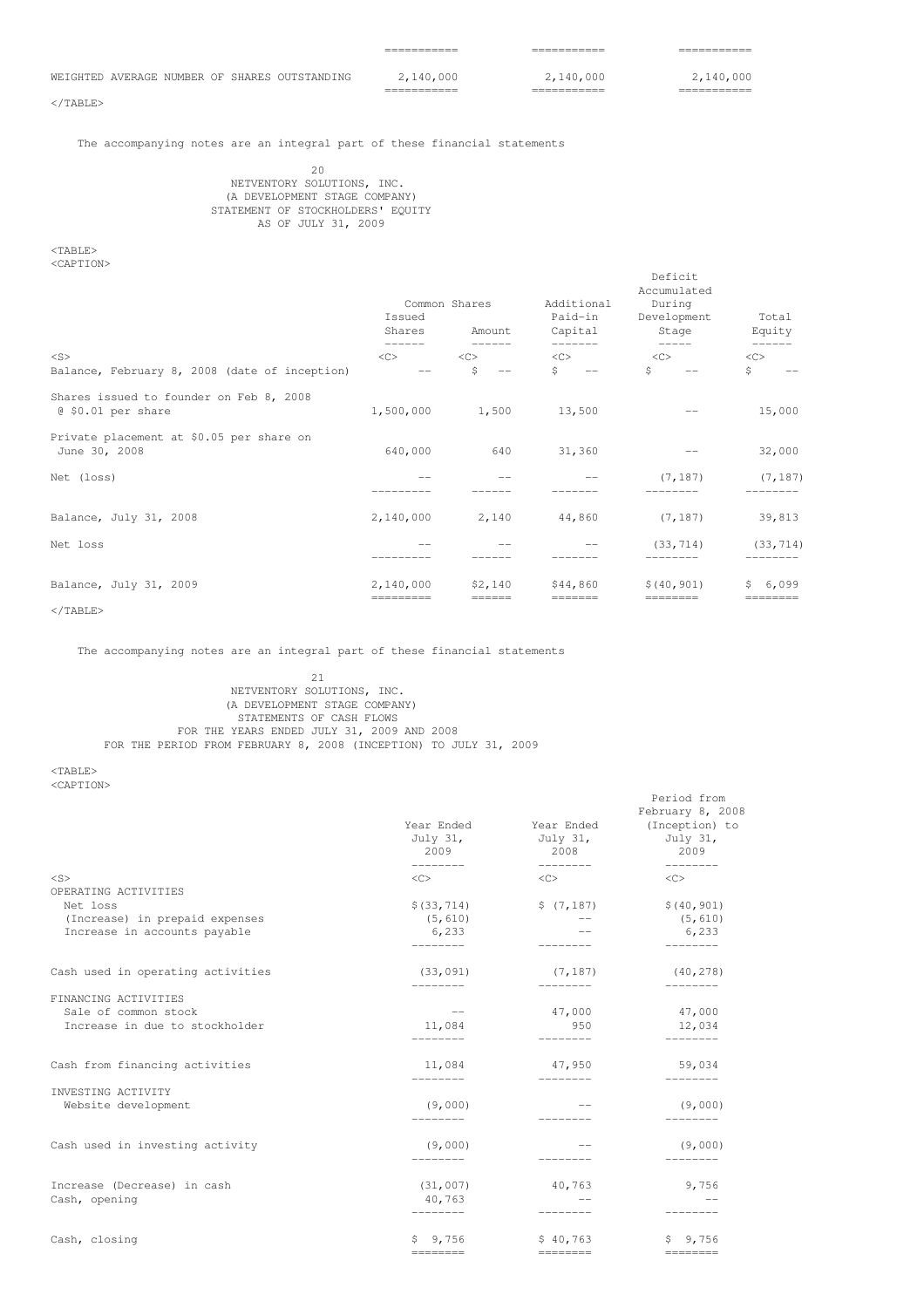|  |  | WEIGHTED AVERAGE NUMBER OF SHARES OUTSTANDING | 2,140,000 |  | 2,140,000 |  | 2,140,000 |  |
|--|--|-----------------------------------------------|-----------|--|-----------|--|-----------|--|
|  |  |                                               |           |  |           |  |           |  |

=========== =========== ===========

Deficit

Period from

 $\langle$ /TABLE>

# The accompanying notes are an integral part of these financial statements

20 NETVENTORY SOLUTIONS, INC. (A DEVELOPMENT STAGE COMPANY) STATEMENT OF STOCKHOLDERS' EQUITY AS OF JULY 31, 2009

<TABLE> <CAPTION>

| Issued<br>Shares    |                                  | Additional<br>Paid-in<br>Capital                                                                                                                                                                                                                                                                                                                                                                                                                                                                                                                                                 | Accumulated<br>During<br>Development<br>Stage | Total<br>Equity                                                 |
|---------------------|----------------------------------|----------------------------------------------------------------------------------------------------------------------------------------------------------------------------------------------------------------------------------------------------------------------------------------------------------------------------------------------------------------------------------------------------------------------------------------------------------------------------------------------------------------------------------------------------------------------------------|-----------------------------------------------|-----------------------------------------------------------------|
| $\langle C \rangle$ | $\langle C \rangle$              | $<\infty$                                                                                                                                                                                                                                                                                                                                                                                                                                                                                                                                                                        | <<                                            | -------<br><<<br>\$                                             |
|                     |                                  |                                                                                                                                                                                                                                                                                                                                                                                                                                                                                                                                                                                  |                                               |                                                                 |
| 1,500,000           | 1,500                            | 13,500                                                                                                                                                                                                                                                                                                                                                                                                                                                                                                                                                                           |                                               | 15,000                                                          |
| 640,000             | 640                              | 31,360                                                                                                                                                                                                                                                                                                                                                                                                                                                                                                                                                                           | $\qquad \qquad -$                             | 32,000                                                          |
|                     |                                  |                                                                                                                                                                                                                                                                                                                                                                                                                                                                                                                                                                                  | (7, 187)                                      | (7, 187)                                                        |
| 2,140,000           | 2,140                            | 44,860                                                                                                                                                                                                                                                                                                                                                                                                                                                                                                                                                                           | (7, 187)                                      | 39,813                                                          |
|                     |                                  |                                                                                                                                                                                                                                                                                                                                                                                                                                                                                                                                                                                  | (33, 714)                                     | (33, 714)                                                       |
| 2,140,000           | \$2,140                          | \$44,860                                                                                                                                                                                                                                                                                                                                                                                                                                                                                                                                                                         | \$(40, 901)                                   | \$6,099<br>$== == == == =$                                      |
|                     | ------<br>$- -$<br>$=$ ========= | Common Shares<br>Amount<br>$\frac{1}{2} \left( \frac{1}{2} \right) \left( \frac{1}{2} \right) \left( \frac{1}{2} \right) \left( \frac{1}{2} \right) \left( \frac{1}{2} \right) \left( \frac{1}{2} \right) \left( \frac{1}{2} \right) \left( \frac{1}{2} \right) \left( \frac{1}{2} \right) \left( \frac{1}{2} \right) \left( \frac{1}{2} \right) \left( \frac{1}{2} \right) \left( \frac{1}{2} \right) \left( \frac{1}{2} \right) \left( \frac{1}{2} \right) \left( \frac{1}{2} \right) \left( \frac$<br>\$<br>$\hspace{0.1mm}-\hspace{0.1mm}-\hspace{0.1mm}$<br>$= = = = = = =$ | --------<br>$S = -$<br>$== == == ==$          | $\frac{1}{2}$<br>Ŝ.<br>$\longrightarrow$<br>$=$ = = = = = = = = |

# $\langle$ /TABLE>

The accompanying notes are an integral part of these financial statements

## $21$ NETVENTORY SOLUTIONS, INC. (A DEVELOPMENT STAGE COMPANY) STATEMENTS OF CASH FLOWS FOR THE YEARS ENDED JULY 31, 2009 AND 2008 FOR THE PERIOD FROM FEBRUARY 8, 2008 (INCEPTION) TO JULY 31, 2009

<TABLE> <CAPTION>

|                                   | Year Ended<br>July 31,<br>2009<br>--------- | Year Ended<br>July 31,<br>2008<br>$\begin{tabular}{ccccccccc} \multicolumn{2}{c}{} & \multicolumn{2}{c}{} & \multicolumn{2}{c}{} & \multicolumn{2}{c}{} & \multicolumn{2}{c}{} & \multicolumn{2}{c}{} & \multicolumn{2}{c}{} & \multicolumn{2}{c}{} & \multicolumn{2}{c}{} & \multicolumn{2}{c}{} & \multicolumn{2}{c}{} & \multicolumn{2}{c}{} & \multicolumn{2}{c}{} & \multicolumn{2}{c}{} & \multicolumn{2}{c}{} & \multicolumn{2}{c}{} & \multicolumn{2}{c}{} & \multicolumn{2}{c}{} & \multicolumn{2}{c}{} & \$ | February 8, 2008<br>(Inception) to<br>July 31,<br>2009 |
|-----------------------------------|---------------------------------------------|-----------------------------------------------------------------------------------------------------------------------------------------------------------------------------------------------------------------------------------------------------------------------------------------------------------------------------------------------------------------------------------------------------------------------------------------------------------------------------------------------------------------------|--------------------------------------------------------|
| $<$ S>                            | $\langle C \rangle$                         | $<\infty$                                                                                                                                                                                                                                                                                                                                                                                                                                                                                                             | ---------<br>$\langle C \rangle$                       |
| OPERATING ACTIVITIES              |                                             |                                                                                                                                                                                                                                                                                                                                                                                                                                                                                                                       |                                                        |
| Net loss                          | \$ (33, 714)                                | \$(7, 187)                                                                                                                                                                                                                                                                                                                                                                                                                                                                                                            | \$(40, 901)                                            |
| (Increase) in prepaid expenses    | (5, 610)                                    | $\longrightarrow$ $\longrightarrow$                                                                                                                                                                                                                                                                                                                                                                                                                                                                                   | (5, 610)                                               |
| Increase in accounts payable      | 6,233                                       |                                                                                                                                                                                                                                                                                                                                                                                                                                                                                                                       | 6,233                                                  |
|                                   | ________                                    |                                                                                                                                                                                                                                                                                                                                                                                                                                                                                                                       | -------                                                |
| Cash used in operating activities | (33, 091)<br>---------                      | (7, 187)<br>$- - - - - - - -$                                                                                                                                                                                                                                                                                                                                                                                                                                                                                         | (40, 278)<br>---------                                 |
| FINANCING ACTIVITIES              |                                             |                                                                                                                                                                                                                                                                                                                                                                                                                                                                                                                       |                                                        |
| Sale of common stock              | $\sim$ $-$                                  | 47,000                                                                                                                                                                                                                                                                                                                                                                                                                                                                                                                | 47,000                                                 |
| Increase in due to stockholder    | 11,084                                      | 950<br>---------                                                                                                                                                                                                                                                                                                                                                                                                                                                                                                      | 12,034                                                 |
| Cash from financing activities    | 11,084<br>---------                         | 47,950<br>---------                                                                                                                                                                                                                                                                                                                                                                                                                                                                                                   | 59,034                                                 |
| INVESTING ACTIVITY                |                                             |                                                                                                                                                                                                                                                                                                                                                                                                                                                                                                                       | ---------                                              |
| Website development               | (9,000)                                     |                                                                                                                                                                                                                                                                                                                                                                                                                                                                                                                       | (9,000)                                                |
|                                   | ---------                                   | ---------                                                                                                                                                                                                                                                                                                                                                                                                                                                                                                             | --------                                               |
| Cash used in investing activity   | (9,000)                                     |                                                                                                                                                                                                                                                                                                                                                                                                                                                                                                                       | (9,000)                                                |
|                                   | ----------                                  | $\frac{1}{2} \left( \frac{1}{2} \right) \left( \frac{1}{2} \right) \left( \frac{1}{2} \right) \left( \frac{1}{2} \right) \left( \frac{1}{2} \right) \left( \frac{1}{2} \right) \left( \frac{1}{2} \right) \left( \frac{1}{2} \right) \left( \frac{1}{2} \right) \left( \frac{1}{2} \right) \left( \frac{1}{2} \right) \left( \frac{1}{2} \right) \left( \frac{1}{2} \right) \left( \frac{1}{2} \right) \left( \frac{1}{2} \right) \left( \frac{1}{2} \right) \left( \frac$                                            | ---------                                              |
| Increase (Decrease) in cash       | (31, 007)                                   | 40,763                                                                                                                                                                                                                                                                                                                                                                                                                                                                                                                | 9,756                                                  |
| Cash, opening                     | 40,763                                      |                                                                                                                                                                                                                                                                                                                                                                                                                                                                                                                       |                                                        |
|                                   | ---------                                   |                                                                                                                                                                                                                                                                                                                                                                                                                                                                                                                       |                                                        |
| Cash, closing                     | \$9,756                                     | \$40,763                                                                                                                                                                                                                                                                                                                                                                                                                                                                                                              | \$9,756                                                |
|                                   |                                             |                                                                                                                                                                                                                                                                                                                                                                                                                                                                                                                       | $=$ = = = = = = = =                                    |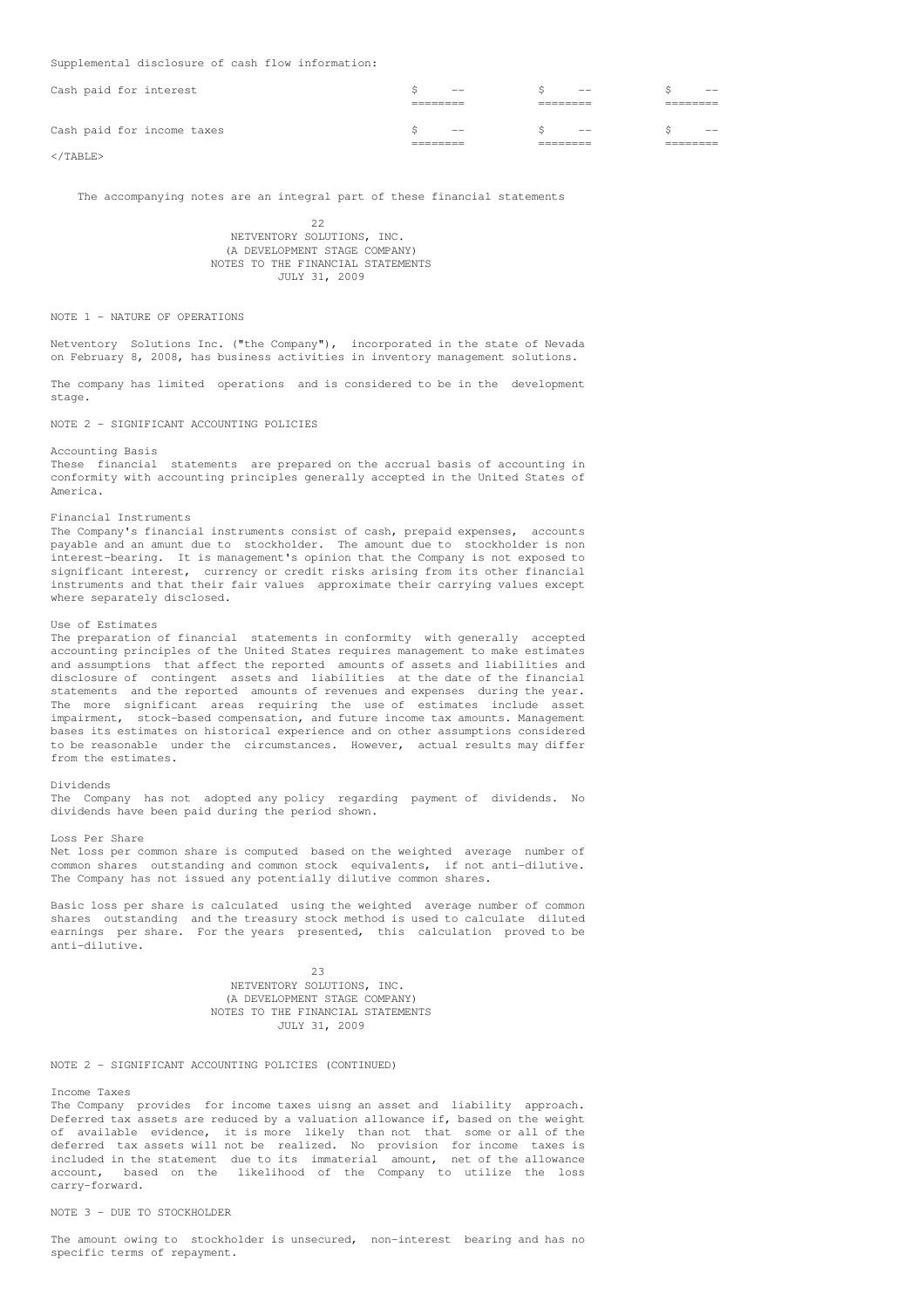Supplemental disclosure of cash flow information:

| Cash paid for interest     | $\sim$ $-$                                                                                                                                                                                                                                                                                                                                                                                                                                                                 | $\sim$ $-$ | $---$      |
|----------------------------|----------------------------------------------------------------------------------------------------------------------------------------------------------------------------------------------------------------------------------------------------------------------------------------------------------------------------------------------------------------------------------------------------------------------------------------------------------------------------|------------|------------|
| Cash paid for income taxes | $\frac{1}{2} \left( \frac{1}{2} \right) \left( \frac{1}{2} \right) \left( \frac{1}{2} \right) \left( \frac{1}{2} \right) \left( \frac{1}{2} \right) \left( \frac{1}{2} \right) \left( \frac{1}{2} \right) \left( \frac{1}{2} \right) \left( \frac{1}{2} \right) \left( \frac{1}{2} \right) \left( \frac{1}{2} \right) \left( \frac{1}{2} \right) \left( \frac{1}{2} \right) \left( \frac{1}{2} \right) \left( \frac{1}{2} \right) \left( \frac{1}{2} \right) \left( \frac$ | $\sim$ $-$ | $\sim$ $-$ |

</TABLE>

The accompanying notes are an integral part of these financial statements

22 NETVENTORY SOLUTIONS, INC. (A DEVELOPMENT STAGE COMPANY) NOTES TO THE FINANCIAL STATEMENTS JULY 31, 2009

### NOTE 1 - NATURE OF OPERATIONS

Netventory Solutions Inc. ("the Company"), incorporated in the state of Nevada on February 8, 2008, has business activities in inventory management solutions.

The company has limited operations and is considered to be in the development stage.

NOTE 2 - SIGNIFICANT ACCOUNTING POLICIES

### Accounting Basis

These financial statements are prepared on the accrual basis of accounting in conformity with accounting principles generally accepted in the United States of America.

## Financial Instruments

The Company's financial instruments consist of cash, prepaid expenses, accounts payable and an amunt due to stockholder. The amount due to stockholder is non interest-bearing. It is management's opinion that the Company is not exposed to significant interest, currency or credit risks arising from its other financial instruments and that their fair values approximate their carrying values except where separately disclosed.

# Use of Estimates

The preparation of financial statements in conformity with generally accepted accounting principles of the United States requires management to make estimates and assumptions that affect the reported amounts of assets and liabilities and disclosure of contingent assets and liabilities at the date of the financial statements and the reported amounts of revenues and expenses during the year. The more significant areas requiring the use of estimates include asset impairment, stock-based compensation, and future income tax amounts. Management bases its estimates on historical experience and on other assumptions considered to be reasonable under the circumstances. However, actual results may differ from the estimates.

## Dividends

The Company has not adopted any policy regarding payment of dividends. No dividends have been paid during the period shown.

Loss Per Share

Net loss per common share is computed based on the weighted average number of common shares outstanding and common stock equivalents, if not anti-dilutive. The Company has not issued any potentially dilutive common shares.

Basic loss per share is calculated using the weighted average number of common shares outstanding and the treasury stock method is used to calculate diluted earnings per share. For the years presented, this calculation proved to be anti-dilutive.

> 23 NETVENTORY SOLUTIONS, INC. (A DEVELOPMENT STAGE COMPANY) NOTES TO THE FINANCIAL STATEMENTS JULY 31, 2009

# NOTE 2 - SIGNIFICANT ACCOUNTING POLICIES (CONTINUED)

Income Taxes

The Company provides for income taxes uisng an asset and liability approach. Deferred tax assets are reduced by a valuation allowance if, based on the weight of available evidence, it is more likely than not that some or all of the deferred tax assets will not be realized. No provision for income taxes is included in the statement due to its immaterial amount, net of the allowance account, based on the likelihood of the Company to utilize the loss carry-forward.

## NOTE 3 - DUE TO STOCKHOLDER

The amount owing to stockholder is unsecured, non-interest bearing and has no specific terms of repayment.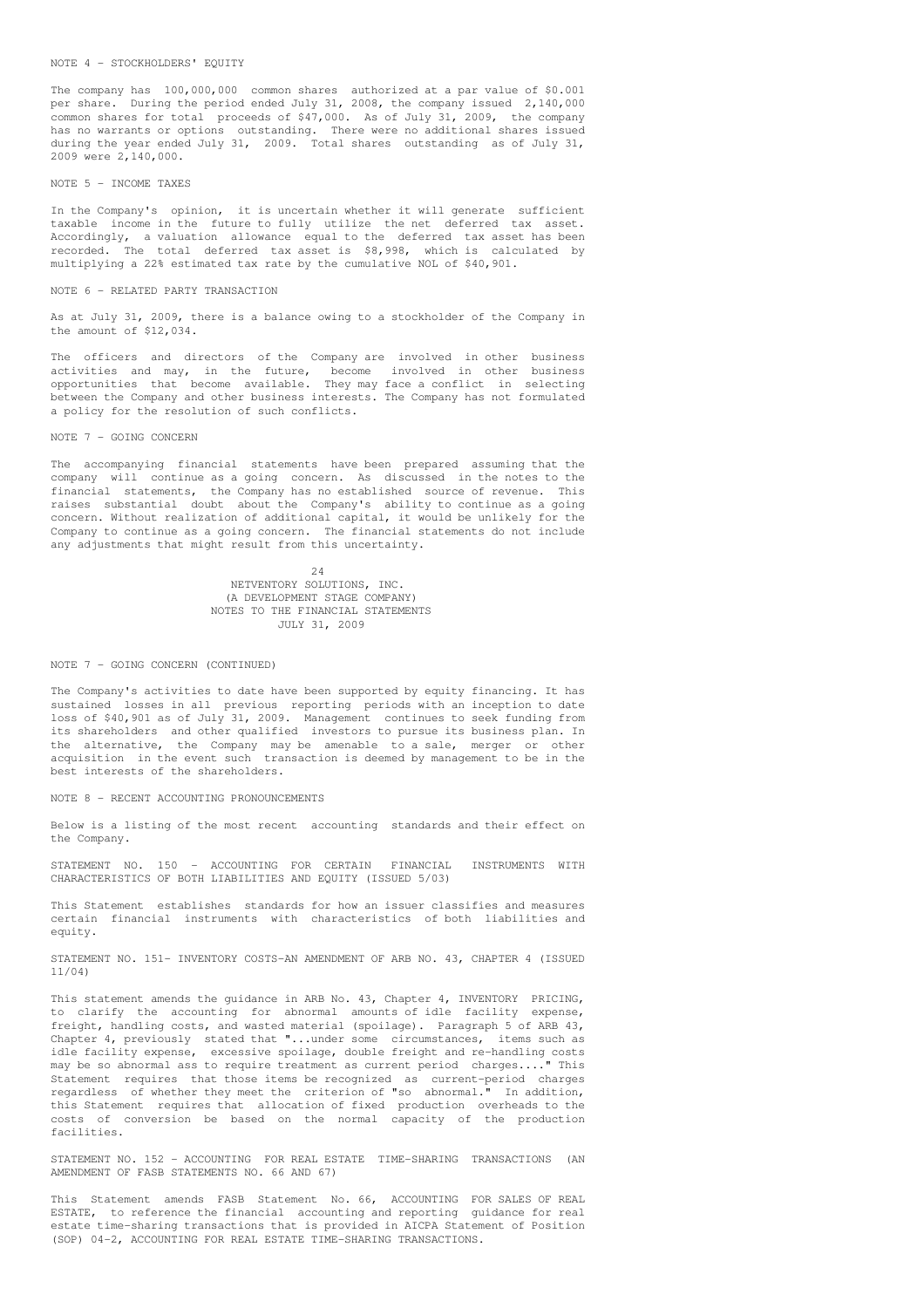## NOTE 4 - STOCKHOLDERS' EQUITY

The company has 100,000,000 common shares authorized at a par value of \$0.001 per share. During the period ended July 31, 2008, the company issued 2,140,000 common shares for total proceeds of \$47,000. As of July 31, 2009, the company has no warrants or options outstanding. There were no additional shares issued during the year ended July 31, 2009. Total shares outstanding as of July 31, 2009 were 2,140,000.

## NOTE 5 - INCOME TAXES

In the Company's opinion, it is uncertain whether it will generate sufficient taxable income in the future to fully utilize the net deferred tax asset. Accordingly, a valuation allowance equal to the deferred tax asset has been recorded. The total deferred tax asset is \$8,998, which is calculated by multiplying a 22% estimated tax rate by the cumulative NOL of \$40,901.

### NOTE 6 - RELATED PARTY TRANSACTION

As at July 31, 2009, there is a balance owing to a stockholder of the Company in the amount of \$12,034.

The officers and directors of the Company are involved in other business activities and may, in the future, become involved in other business opportunities that become available. They may face a conflict in selecting between the Company and other business interests. The Company has not formulated a policy for the resolution of such conflicts.

## NOTE 7 - GOING CONCERN

The accompanying financial statements have been prepared assuming that the company will continue as a going concern. As discussed in the notes to the financial statements, the Company has no established source of revenue. This raises substantial doubt about the Company's ability to continue as a going concern. Without realization of additional capital, it would be unlikely for the Company to continue as a going concern. The financial statements do not include any adjustments that might result from this uncertainty.

> 24 NETVENTORY SOLUTIONS, INC. (A DEVELOPMENT STAGE COMPANY) NOTES TO THE FINANCIAL STATEMENTS JULY 31, 2009

#### NOTE 7 - GOING CONCERN (CONTINUED)

The Company's activities to date have been supported by equity financing. It has sustained losses in all previous reporting periods with an inception to date loss of \$40,901 as of July 31, 2009. Management continues to seek funding from its shareholders and other qualified investors to pursue its business plan. In the alternative, the Company may be amenable to a sale, merger or other acquisition in the event such transaction is deemed by management to be in the best interests of the shareholders.

### NOTE 8 - RECENT ACCOUNTING PRONOUNCEMENTS

Below is a listing of the most recent accounting standards and their effect on the Company.

STATEMENT NO. 150 - ACCOUNTING FOR CERTAIN FINANCIAL INSTRUMENTS WITH CHARACTERISTICS OF BOTH LIABILITIES AND EQUITY (ISSUED 5/03)

This Statement establishes standards for how an issuer classifies and measures certain financial instruments with characteristics of both liabilities and equity.

STATEMENT NO. 151- INVENTORY COSTS-AN AMENDMENT OF ARB NO. 43, CHAPTER 4 (ISSUED 11/04)

This statement amends the guidance in ARB No. 43, Chapter 4, INVENTORY PRICING, to clarify the accounting for abnormal amounts of idle facility expense, freight, handling costs, and wasted material (spoilage). Paragraph 5 of ARB 43, Chapter 4, previously stated that "...under some circumstances, items such as idle facility expense, excessive spoilage, double freight and re-handling costs may be so abnormal ass to require treatment as current period charges...." This Statement requires that those items be recognized as current-period charges regardless of whether they meet the criterion of "so abnormal." In addition, this Statement requires that allocation of fixed production overheads to the costs of conversion be based on the normal capacity of the production facilities.

STATEMENT NO. 152 - ACCOUNTING FOR REAL ESTATE TIME-SHARING TRANSACTIONS (AN AMENDMENT OF FASB STATEMENTS NO. 66 AND 67)

This Statement amends FASB Statement No. 66, ACCOUNTING FOR SALES OF REAL ESTATE, to reference the financial accounting and reporting guidance for real estate time-sharing transactions that is provided in AICPA Statement of Position (SOP) 04-2, ACCOUNTING FOR REAL ESTATE TIME-SHARING TRANSACTIONS.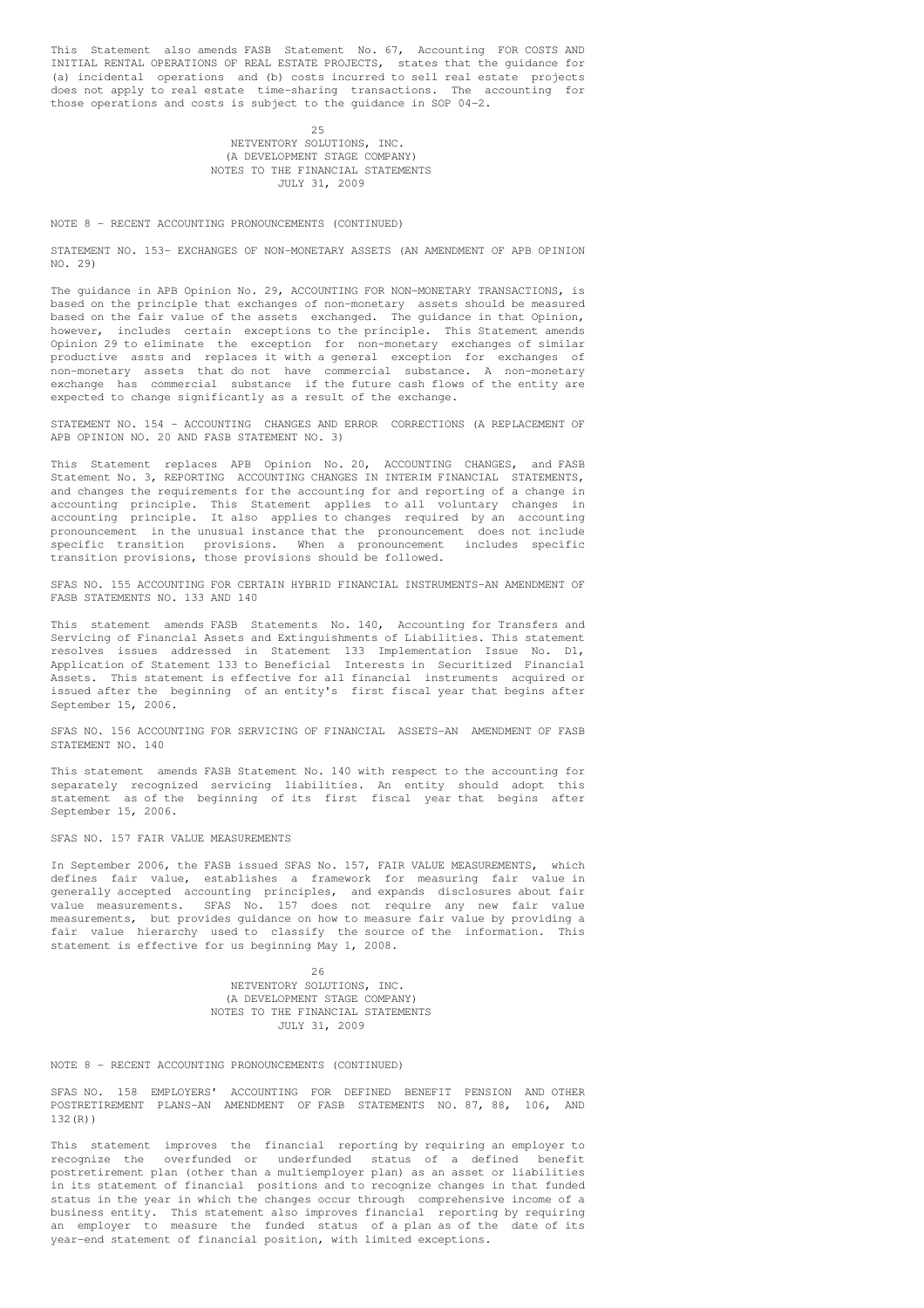This Statement also amends FASB Statement No. 67, Accounting FOR COSTS AND INITIAL RENTAL OPERATIONS OF REAL ESTATE PROJECTS, states that the guidance for (a) incidental operations and (b) costs incurred to sell real estate projects does not apply to real estate time-sharing transactions. The accounting for those operations and costs is subject to the guidance in SOP 04-2.

## 25 NETVENTORY SOLUTIONS, INC. (A DEVELOPMENT STAGE COMPANY) NOTES TO THE FINANCIAL STATEMENTS JULY 31, 2009

## NOTE 8 - RECENT ACCOUNTING PRONOUNCEMENTS (CONTINUED)

STATEMENT NO. 153- EXCHANGES OF NON-MONETARY ASSETS (AN AMENDMENT OF APB OPINION NO. 29)

The guidance in APB Opinion No. 29, ACCOUNTING FOR NON-MONETARY TRANSACTIONS, is based on the principle that exchanges of non-monetary assets should be measured based on the fair value of the assets exchanged. The guidance in that Opinion, however, includes certain exceptions to the principle. This Statement amends Opinion 29 to eliminate the exception for non-monetary exchanges of similar productive assts and replaces it with a general exception for exchanges of non-monetary assets that do not have commercial substance. A non-monetary exchange has commercial substance if the future cash flows of the entity are expected to change significantly as a result of the exchange.

STATEMENT NO. 154 - ACCOUNTING CHANGES AND ERROR CORRECTIONS (A REPLACEMENT OF APB OPINION NO. 20 AND FASB STATEMENT NO. 3)

This Statement replaces APB Opinion No. 20, ACCOUNTING CHANGES, and FASB Statement No. 3, REPORTING ACCOUNTING CHANGES IN INTERIM FINANCIAL STATEMENTS, and changes the requirements for the accounting for and reporting of a change in accounting principle. This Statement applies to all voluntary changes in accounting principle. It also applies to changes required by an accounting pronouncement in the unusual instance that the pronouncement does not include specific transition provisions. When a pronouncement includes specific transition provisions, those provisions should be followed.

SFAS NO. 155 ACCOUNTING FOR CERTAIN HYBRID FINANCIAL INSTRUMENTS-AN AMENDMENT OF FASB STATEMENTS NO. 133 AND 140

This statement amends FASB Statements No. 140, Accounting for Transfers and Servicing of Financial Assets and Extinguishments of Liabilities. This statement resolves issues addressed in Statement 133 Implementation Issue No. D1, Application of Statement 133 to Beneficial Interests in Securitized Financial Assets. This statement is effective for all financial instruments acquired or issued after the beginning of an entity's first fiscal year that begins after September 15, 2006.

SFAS NO. 156 ACCOUNTING FOR SERVICING OF FINANCIAL ASSETS-AN AMENDMENT OF FASB STATEMENT NO. 140

This statement amends FASB Statement No. 140 with respect to the accounting for separately recognized servicing liabilities. An entity should adopt this statement as of the beginning of its first fiscal year that begins after September 15, 2006.

## SFAS NO. 157 FAIR VALUE MEASUREMENTS

In September 2006, the FASB issued SFAS No. 157, FAIR VALUE MEASUREMENTS, which defines fair value, establishes a framework for measuring fair value in generally accepted accounting principles, and expands disclosures about fair value measurements. SFAS No. 157 does not require any new fair value measurements, but provides guidance on how to measure fair value by providing a fair value hierarchy used to classify the source of the information. This statement is effective for us beginning May 1, 2008.

> 26 NETVENTORY SOLUTIONS, INC. (A DEVELOPMENT STAGE COMPANY) NOTES TO THE FINANCIAL STATEMENTS JULY 31, 2009

NOTE 8 - RECENT ACCOUNTING PRONOUNCEMENTS (CONTINUED)

SFAS NO. 158 EMPLOYERS' ACCOUNTING FOR DEFINED BENEFIT PENSION AND OTHER POSTRETIREMENT PLANS-AN AMENDMENT OF FASB STATEMENTS NO. 87, 88, 106, AND 132(R))

This statement improves the financial reporting by requiring an employer to recognize the overfunded or underfunded status of a defined benefit postretirement plan (other than a multiemployer plan) as an asset or liabilities in its statement of financial positions and to recognize changes in that funded status in the year in which the changes occur through comprehensive income of a business entity. This statement also improves financial reporting by requiring an employer to measure the funded status of a plan as of the date of its year-end statement of financial position, with limited exceptions.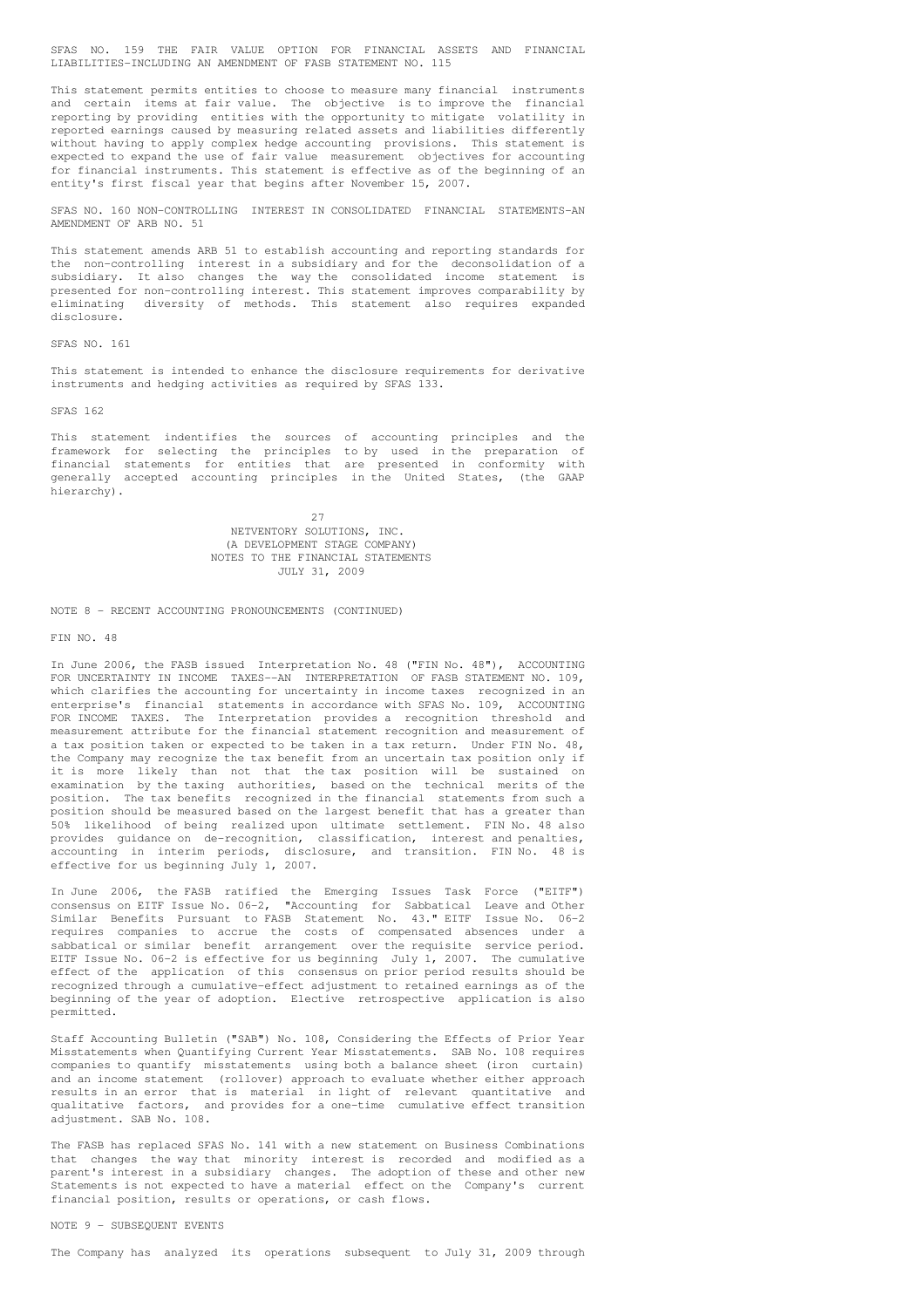SFAS NO. 159 THE FAIR VALUE OPTION FOR FINANCIAL ASSETS AND FINANCIAL LIABILITIES-INCLUDING AN AMENDMENT OF FASB STATEMENT NO. 115

This statement permits entities to choose to measure many financial instruments and certain items at fair value. The objective is to improve the financial reporting by providing entities with the opportunity to mitigate volatility in reported earnings caused by measuring related assets and liabilities differently without having to apply complex hedge accounting provisions. This statement is expected to expand the use of fair value measurement objectives for accounting for financial instruments. This statement is effective as of the beginning of an entity's first fiscal year that begins after November 15, 2007.

SFAS NO. 160 NON-CONTROLLING INTEREST IN CONSOLIDATED FINANCIAL STATEMENTS-AN AMENDMENT OF ARB NO. 51

This statement amends ARB 51 to establish accounting and reporting standards for the non-controlling interest in a subsidiary and for the deconsolidation of a subsidiary. It also changes the way the consolidated income statement is presented for non-controlling interest. This statement improves comparability by eliminating diversity of methods. This statement also requires expanded disclosure.

### SFAS NO. 161

This statement is intended to enhance the disclosure requirements for derivative instruments and hedging activities as required by SFAS 133.

SFAS 162

This statement indentifies the sources of accounting principles and the framework for selecting the principles to by used in the preparation of financial statements for entities that are presented in conformity with generally accepted accounting principles in the United States, (the GAAP hierarchy).

> $27$ NETVENTORY SOLUTIONS, INC. (A DEVELOPMENT STAGE COMPANY) NOTES TO THE FINANCIAL STATEMENTS JULY 31, 2009

NOTE 8 - RECENT ACCOUNTING PRONOUNCEMENTS (CONTINUED)

## FIN NO. 48

In June 2006, the FASB issued Interpretation No. 48 ("FIN No. 48"), ACCOUNTING FOR UNCERTAINTY IN INCOME TAXES--AN INTERPRETATION OF FASB STATEMENT NO. 109, which clarifies the accounting for uncertainty in income taxes recognized in an enterprise's financial statements in accordance with SFAS No. 109, ACCOUNTING FOR INCOME TAXES. The Interpretation provides a recognition threshold and measurement attribute for the financial statement recognition and measurement of a tax position taken or expected to be taken in a tax return. Under FIN No. 48, the Company may recognize the tax benefit from an uncertain tax position only if it is more likely than not that the tax position will be sustained on examination by the taxing authorities, based on the technical merits of the position. The tax benefits recognized in the financial statements from such a position should be measured based on the largest benefit that has a greater than 50% likelihood of being realized upon ultimate settlement. FIN No. 48 also provides guidance on de-recognition, classification, interest and penalties, accounting in interim periods, disclosure, and transition. FIN No. 48 is effective for us beginning July 1, 2007.

In June 2006, the FASB ratified the Emerging Issues Task Force ("EITF") consensus on EITF Issue No. 06-2, "Accounting for Sabbatical Leave and Other Similar Benefits Pursuant to FASB Statement No. 43." EITF Issue No. 06-2 requires companies to accrue the costs of compensated absences under a sabbatical or similar benefit arrangement over the requisite service period. EITF Issue No. 06-2 is effective for us beginning July 1, 2007. The cumulative effect of the application of this consensus on prior period results should be recognized through a cumulative-effect adjustment to retained earnings as of the beginning of the year of adoption. Elective retrospective application is also permitted.

Staff Accounting Bulletin ("SAB") No. 108, Considering the Effects of Prior Year Misstatements when Quantifying Current Year Misstatements. SAB No. 108 requires companies to quantify misstatements using both a balance sheet (iron curtain) and an income statement (rollover) approach to evaluate whether either approach results in an error that is material in light of relevant quantitative and qualitative factors, and provides for a one-time cumulative effect transition adjustment. SAB No. 108.

The FASB has replaced SFAS No. 141 with a new statement on Business Combinations that changes the way that minority interest is recorded and modified as a parent's interest in a subsidiary changes. The adoption of these and other new Statements is not expected to have a material effect on the Company's current financial position, results or operations, or cash flows.

NOTE 9 - SUBSEQUENT EVENTS

The Company has analyzed its operations subsequent to July 31, 2009 through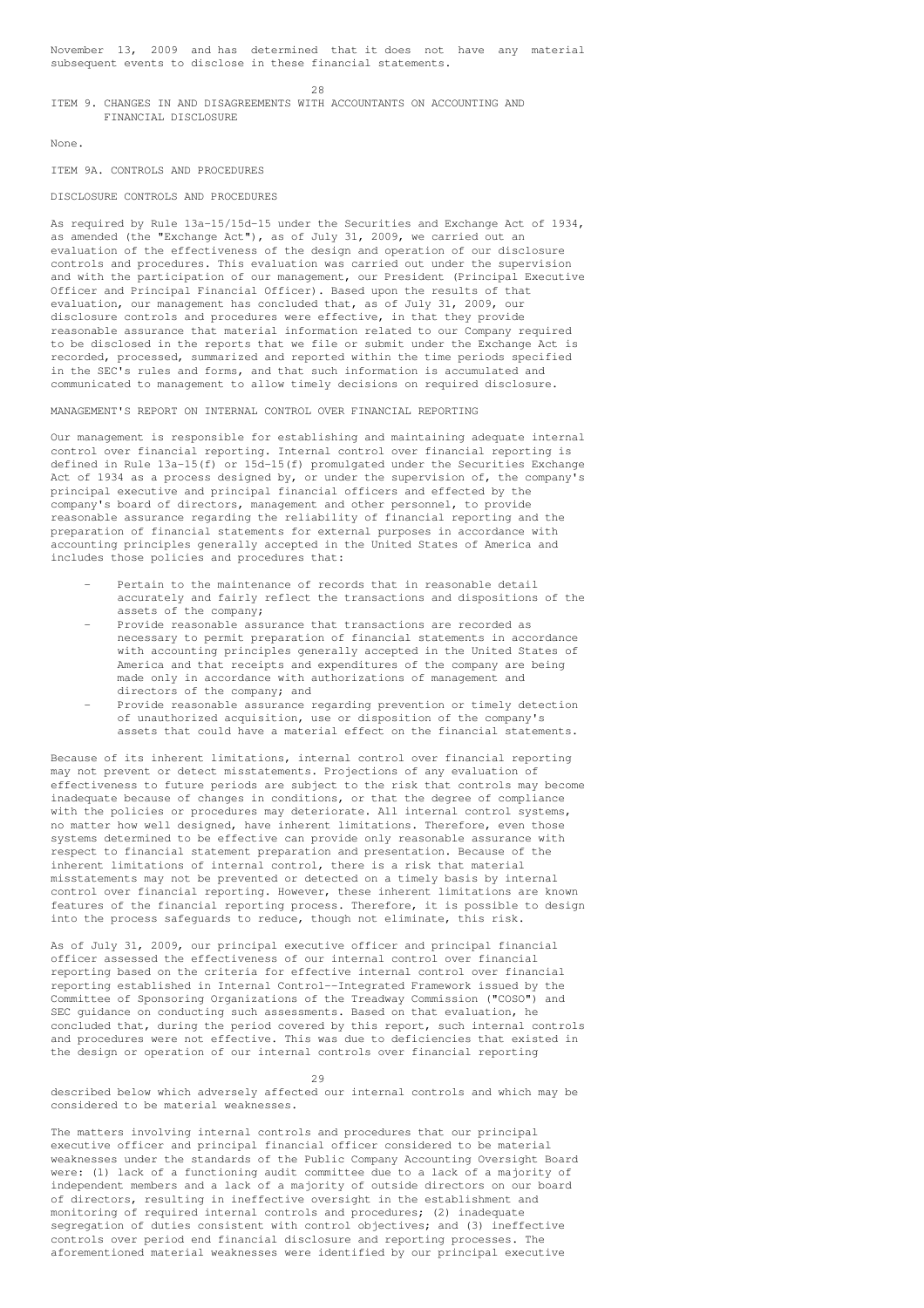November 13, 2009 and has determined that it does not have any material subsequent events to disclose in these financial statements.

 $28$ 

## ITEM 9. CHANGES IN AND DISAGREEMENTS WITH ACCOUNTANTS ON ACCOUNTING AND FINANCIAL DISCLOSURE

None.

## ITEM 9A. CONTROLS AND PROCEDURES

## DISCLOSURE CONTROLS AND PROCEDURES

As required by Rule 13a-15/15d-15 under the Securities and Exchange Act of 1934, as amended (the "Exchange Act"), as of July 31, 2009, we carried out an evaluation of the effectiveness of the design and operation of our disclosure controls and procedures. This evaluation was carried out under the supervision and with the participation of our management, our President (Principal Executive Officer and Principal Financial Officer). Based upon the results of that evaluation, our management has concluded that, as of July 31, 2009, our disclosure controls and procedures were effective, in that they provide reasonable assurance that material information related to our Company required to be disclosed in the reports that we file or submit under the Exchange Act is recorded, processed, summarized and reported within the time periods specified in the SEC's rules and forms, and that such information is accumulated and communicated to management to allow timely decisions on required disclosure.

MANAGEMENT'S REPORT ON INTERNAL CONTROL OVER FINANCIAL REPORTING

Our management is responsible for establishing and maintaining adequate internal control over financial reporting. Internal control over financial reporting is defined in Rule 13a-15(f) or 15d-15(f) promulgated under the Securities Exchange Act of 1934 as a process designed by, or under the supervision of, the company's principal executive and principal financial officers and effected by the company's board of directors, management and other personnel, to provide reasonable assurance regarding the reliability of financial reporting and the preparation of financial statements for external purposes in accordance with accounting principles generally accepted in the United States of America and includes those policies and procedures that:

- Pertain to the maintenance of records that in reasonable detail accurately and fairly reflect the transactions and dispositions of the assets of the company;
- Provide reasonable assurance that transactions are recorded as necessary to permit preparation of financial statements in accordance with accounting principles generally accepted in the United States of America and that receipts and expenditures of the company are being made only in accordance with authorizations of management and directors of the company; and
- Provide reasonable assurance regarding prevention or timely detection of unauthorized acquisition, use or disposition of the company's assets that could have a material effect on the financial statements.

Because of its inherent limitations, internal control over financial reporting may not prevent or detect misstatements. Projections of any evaluation of effectiveness to future periods are subject to the risk that controls may become inadequate because of changes in conditions, or that the degree of compliance with the policies or procedures may deteriorate. All internal control systems, no matter how well designed, have inherent limitations. Therefore, even those systems determined to be effective can provide only reasonable assurance with respect to financial statement preparation and presentation. Because of the inherent limitations of internal control, there is a risk that material misstatements may not be prevented or detected on a timely basis by internal control over financial reporting. However, these inherent limitations are known features of the financial reporting process. Therefore, it is possible to design into the process safeguards to reduce, though not eliminate, this risk.

As of July 31, 2009, our principal executive officer and principal financial officer assessed the effectiveness of our internal control over financial reporting based on the criteria for effective internal control over financial reporting established in Internal Control--Integrated Framework issued by the Committee of Sponsoring Organizations of the Treadway Commission ("COSO") and SEC guidance on conducting such assessments. Based on that evaluation, he concluded that, during the period covered by this report, such internal controls and procedures were not effective. This was due to deficiencies that existed in the design or operation of our internal controls over financial reporting

## $29$

described below which adversely affected our internal controls and which may be considered to be material weaknesses.

The matters involving internal controls and procedures that our principal executive officer and principal financial officer considered to be material weaknesses under the standards of the Public Company Accounting Oversight Board were: (1) lack of a functioning audit committee due to a lack of a majority of independent members and a lack of a majority of outside directors on our board of directors, resulting in ineffective oversight in the establishment and monitoring of required internal controls and procedures; (2) inadequate segregation of duties consistent with control objectives; and (3) ineffective controls over period end financial disclosure and reporting processes. The aforementioned material weaknesses were identified by our principal executive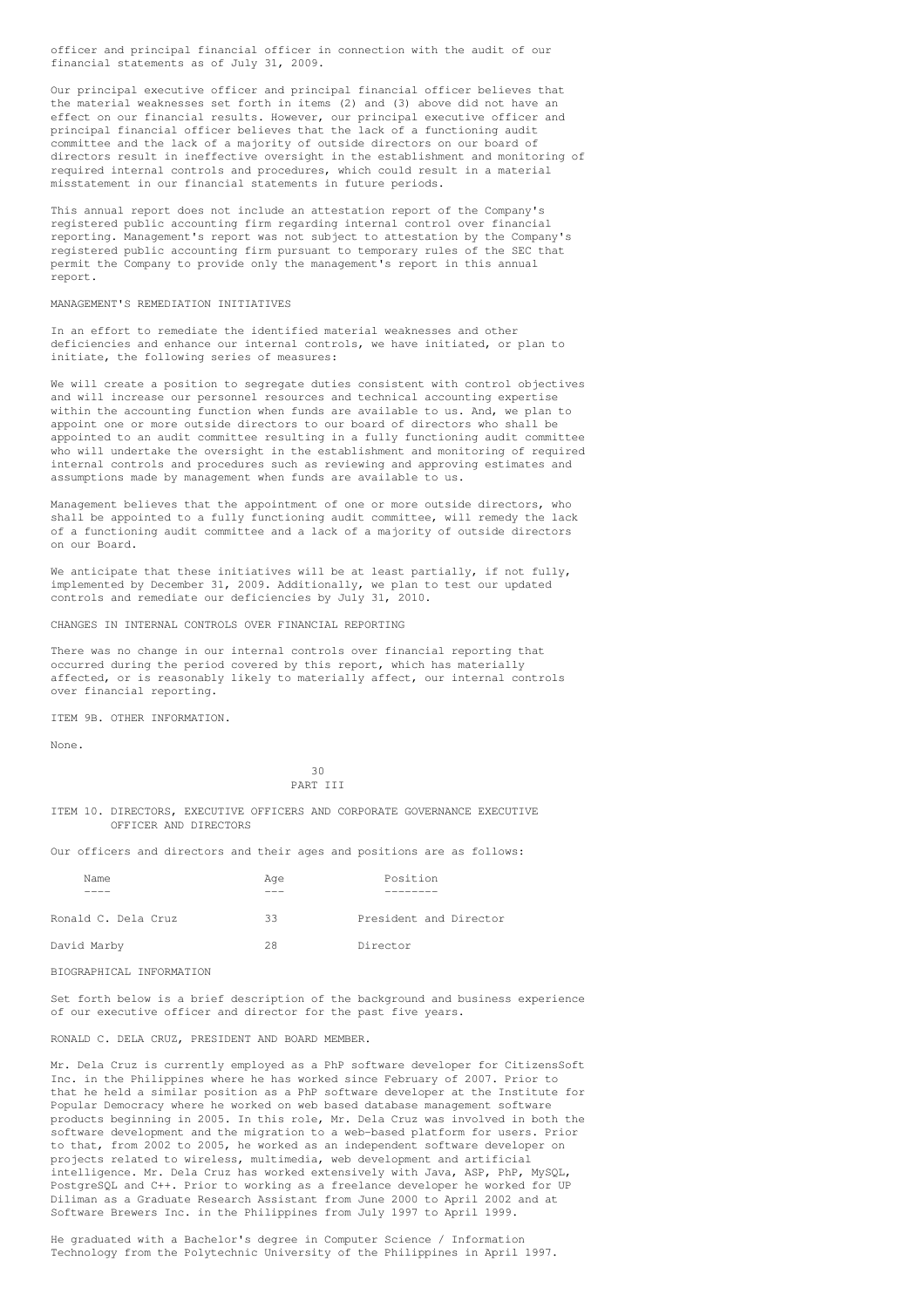officer and principal financial officer in connection with the audit of our financial statements as of July 31, 2009.

Our principal executive officer and principal financial officer believes that the material weaknesses set forth in items (2) and (3) above did not have an effect on our financial results. However, our principal executive officer and principal financial officer believes that the lack of a functioning audit committee and the lack of a majority of outside directors on our board of directors result in ineffective oversight in the establishment and monitoring of required internal controls and procedures, which could result in a material misstatement in our financial statements in future periods.

This annual report does not include an attestation report of the Company's registered public accounting firm regarding internal control over financial reporting. Management's report was not subject to attestation by the Company's registered public accounting firm pursuant to temporary rules of the SEC that permit the Company to provide only the management's report in this annual report.

## MANAGEMENT'S REMEDIATION INITIATIVES

In an effort to remediate the identified material weaknesses and other deficiencies and enhance our internal controls, we have initiated, or plan to initiate, the following series of measures:

We will create a position to segregate duties consistent with control objectives and will increase our personnel resources and technical accounting expertise within the accounting function when funds are available to us. And, we plan to appoint one or more outside directors to our board of directors who shall be appointed to an audit committee resulting in a fully functioning audit committee who will undertake the oversight in the establishment and monitoring of required internal controls and procedures such as reviewing and approving estimates and assumptions made by management when funds are available to us.

Management believes that the appointment of one or more outside directors, who shall be appointed to a fully functioning audit committee, will remedy the lack of a functioning audit committee and a lack of a majority of outside directors on our Board.

We anticipate that these initiatives will be at least partially, if not fully, implemented by December 31, 2009. Additionally, we plan to test our updated controls and remediate our deficiencies by July 31, 2010.

CHANGES IN INTERNAL CONTROLS OVER FINANCIAL REPORTING

There was no change in our internal controls over financial reporting that occurred during the period covered by this report, which has materially affected, or is reasonably likely to materially affect, our internal controls over financial reporting.

ITEM 9B. OTHER INFORMATION.

None.

## $30$ PART III

ITEM 10. DIRECTORS, EXECUTIVE OFFICERS AND CORPORATE GOVERNANCE EXECUTIVE OFFICER AND DIRECTORS

Our officers and directors and their ages and positions are as follows:

| Name                | Age | Position               |  |  |  |
|---------------------|-----|------------------------|--|--|--|
|                     |     |                        |  |  |  |
| Ronald C. Dela Cruz | 33  | President and Director |  |  |  |
| David Marby         | 28  | Director               |  |  |  |

BIOGRAPHICAL INFORMATION

Set forth below is a brief description of the background and business experience of our executive officer and director for the past five years.

## RONALD C. DELA CRUZ, PRESIDENT AND BOARD MEMBER.

Mr. Dela Cruz is currently employed as a PhP software developer for CitizensSoft Inc. in the Philippines where he has worked since February of 2007. Prior to that he held a similar position as a PhP software developer at the Institute for Popular Democracy where he worked on web based database management software products beginning in 2005. In this role, Mr. Dela Cruz was involved in both the software development and the migration to a web-based platform for users. Prior to that, from 2002 to 2005, he worked as an independent software developer on projects related to wireless, multimedia, web development and artificial intelligence. Mr. Dela Cruz has worked extensively with Java, ASP, PhP, MySQL, PostgreSQL and C++. Prior to working as a freelance developer he worked for UP Diliman as a Graduate Research Assistant from June 2000 to April 2002 and at Software Brewers Inc. in the Philippines from July 1997 to April 1999.

He graduated with a Bachelor's degree in Computer Science / Information Technology from the Polytechnic University of the Philippines in April 1997.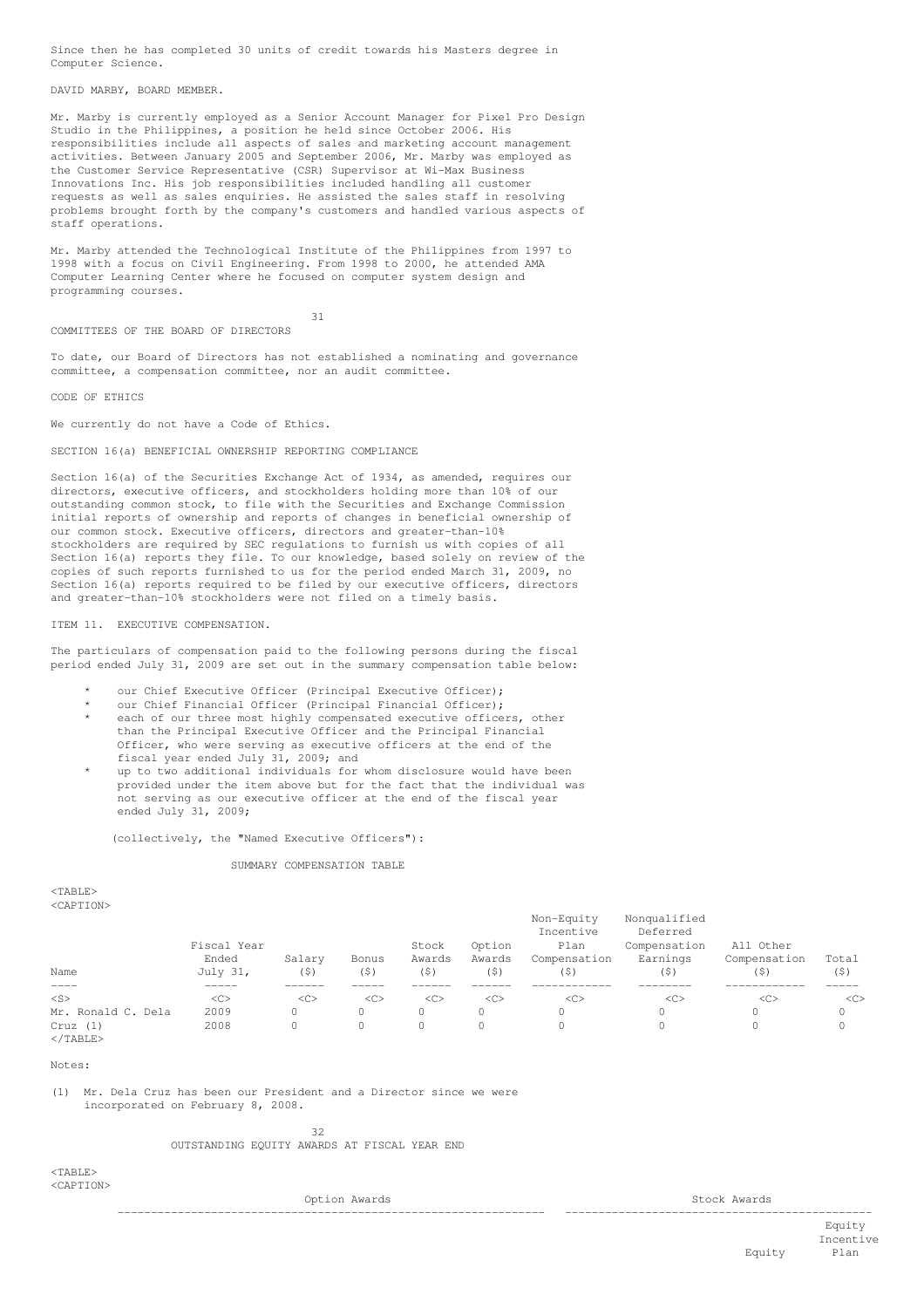Since then he has completed 30 units of credit towards his Masters degree in Computer Science.

DAVID MARBY, BOARD MEMBER.

Mr. Marby is currently employed as a Senior Account Manager for Pixel Pro Design Studio in the Philippines, a position he held since October 2006. His responsibilities include all aspects of sales and marketing account management activities. Between January 2005 and September 2006, Mr. Marby was employed as the Customer Service Representative (CSR) Supervisor at Wi-Max Business Innovations Inc. His job responsibilities included handling all customer requests as well as sales enquiries. He assisted the sales staff in resolving problems brought forth by the company's customers and handled various aspects of staff operations.

Mr. Marby attended the Technological Institute of the Philippines from 1997 to 1998 with a focus on Civil Engineering. From 1998 to 2000, he attended AMA Computer Learning Center where he focused on computer system design and programming courses.

31

COMMITTEES OF THE BOARD OF DIRECTORS

To date, our Board of Directors has not established a nominating and governance committee, a compensation committee, nor an audit committee.

CODE OF ETHICS

We currently do not have a Code of Ethics.

## SECTION 16(a) BENEFICIAL OWNERSHIP REPORTING COMPLIANCE

Section 16(a) of the Securities Exchange Act of 1934, as amended, requires our directors, executive officers, and stockholders holding more than 10% of our outstanding common stock, to file with the Securities and Exchange Commission initial reports of ownership and reports of changes in beneficial ownership of our common stock. Executive officers, directors and greater-than-10% stockholders are required by SEC regulations to furnish us with copies of all Section 16(a) reports they file. To our knowledge, based solely on review of the copies of such reports furnished to us for the period ended March 31, 2009, no Section 16(a) reports required to be filed by our executive officers, directors and greater-than-10% stockholders were not filed on a timely basis.

ITEM 11. EXECUTIVE COMPENSATION.

The particulars of compensation paid to the following persons during the fiscal period ended July 31, 2009 are set out in the summary compensation table below:

- our Chief Executive Officer (Principal Executive Officer);
- our Chief Financial Officer (Principal Financial Officer);
- each of our three most highly compensated executive officers, other than the Principal Executive Officer and the Principal Financial Officer, who were serving as executive officers at the end of the fiscal year ended July 31, 2009; and
- up to two additional individuals for whom disclosure would have been provided under the item above but for the fact that the individual was not serving as our executive officer at the end of the fiscal year ended July 31, 2009;

(collectively, the "Named Executive Officers"):

#### SUMMARY COMPENSATION TABLE

<TABLE> <CAPTION>

|                              | Fiscal Year |        |       | Stock  | Option | Non-Equity<br>Incentive<br>Plan | Nonqualified<br>Deferred<br>Compensation | All Other    |       |
|------------------------------|-------------|--------|-------|--------|--------|---------------------------------|------------------------------------------|--------------|-------|
|                              | Ended       | Salary | Bonus | Awards | Awards | Compensation                    | Earnings                                 | Compensation | Total |
| Name                         | July 31,    | (5)    | (5)   | (5)    | (5)    | (\$)                            | (5)                                      | (\$)         | (\$)  |
| $---$                        | -----       |        |       |        |        |                                 |                                          |              |       |
| $<$ S>                       | $<$ C>      | <<     | <<    | <<     | <<     | <<                              | <<                                       | $<\infty$    | <<    |
| Mr. Ronald C. Dela           | 2009        | 0      | 0     |        |        |                                 |                                          |              | 0     |
| Cruz(1)<br>$\langle$ /TABLE> | 2008        | 0      | 0     |        |        |                                 |                                          |              | 0     |

#### Notes:

(1) Mr. Dela Cruz has been our President and a Director since we were incorporated on February 8, 2008.

> 32 OUTSTANDING EQUITY AWARDS AT FISCAL YEAR END

<TABLE> <CAPTION>

Option Awards Stock Awards Stock Awards

Equity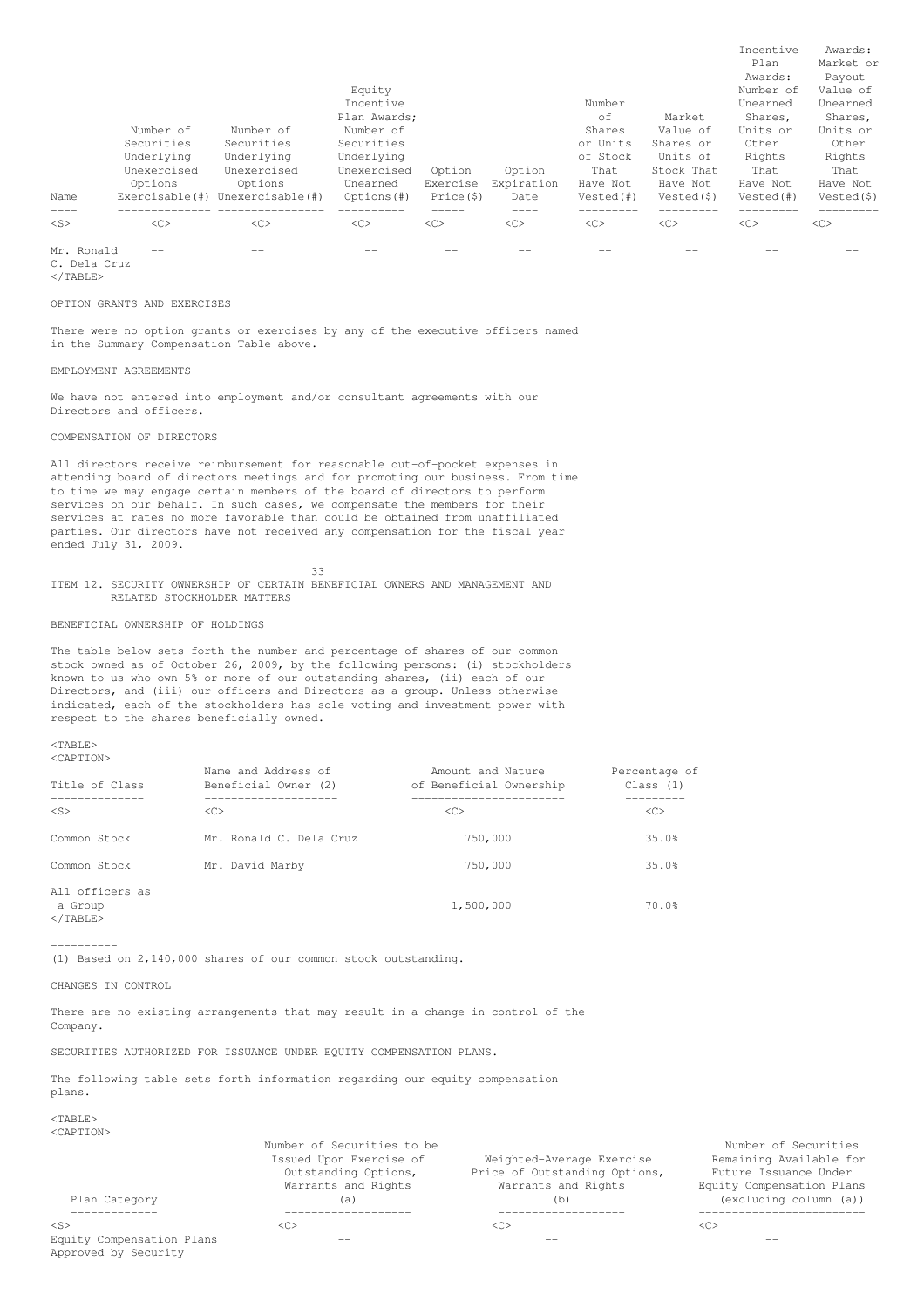|            | Number of<br>Securities<br>Underlying<br>Unexercised<br>Options | Number of<br>Securities<br>Underlying<br>Unexercised<br>Options | Equity<br>Incentive<br>Plan Awards;<br>Number of<br>Securities<br>Underlying<br>Unexercised<br>Unearned | Option<br>Exercise | Option<br>Expiration | Number<br>οf<br>Shares<br>or Units<br>of Stock<br>That<br>Have Not | Market<br>Value of<br>Shares or<br>Units of<br>Stock That<br>Have Not | Incentive<br>Plan<br>Awards:<br>Number of<br>Unearned<br>Shares,<br>Units or<br>Other<br>Rights<br>That<br>Have Not | Awards:<br>Market or<br>Payout<br>Value of<br>Unearned<br>Shares,<br>Units or<br>Other<br>Rights<br>That<br>Have Not |
|------------|-----------------------------------------------------------------|-----------------------------------------------------------------|---------------------------------------------------------------------------------------------------------|--------------------|----------------------|--------------------------------------------------------------------|-----------------------------------------------------------------------|---------------------------------------------------------------------------------------------------------------------|----------------------------------------------------------------------------------------------------------------------|
| Name       | Exerciseable(f))                                                | Unexercisable(#)                                                | Options (#)                                                                                             | Price(5)           | Date                 | Vested(#)                                                          | Vested(\$)                                                            | Vested(#)                                                                                                           | Vested(\$)                                                                                                           |
| $<$ S>     | <<                                                              | <<                                                              | <<                                                                                                      | <<                 | $<\infty$            | <<                                                                 | <<                                                                    | $<$ C>                                                                                                              | <<                                                                                                                   |
| Mr. Ronald |                                                                 |                                                                 |                                                                                                         |                    |                      |                                                                    |                                                                       |                                                                                                                     |                                                                                                                      |

C. Dela Cruz

</TABLE>

OPTION GRANTS AND EXERCISES

There were no option grants or exercises by any of the executive officers named in the Summary Compensation Table above.

EMPLOYMENT AGREEMENTS

We have not entered into employment and/or consultant agreements with our Directors and officers.

COMPENSATION OF DIRECTORS

All directors receive reimbursement for reasonable out-of-pocket expenses in attending board of directors meetings and for promoting our business. From time to time we may engage certain members of the board of directors to perform services on our behalf. In such cases, we compensate the members for their services at rates no more favorable than could be obtained from unaffiliated parties. Our directors have not received any compensation for the fiscal year ended July 31, 2009.

33 ITEM 12. SECURITY OWNERSHIP OF CERTAIN BENEFICIAL OWNERS AND MANAGEMENT AND RELATED STOCKHOLDER MATTERS

BENEFICIAL OWNERSHIP OF HOLDINGS

The table below sets forth the number and percentage of shares of our common stock owned as of October 26, 2009, by the following persons: (i) stockholders known to us who own 5% or more of our outstanding shares, (ii) each of our Directors, and (iii) our officers and Directors as a group. Unless otherwise indicated, each of the stockholders has sole voting and investment power with respect to the shares beneficially owned.

<TABLE> <CAPTION>

| Title of Class                                  | Name and Address of<br>Beneficial Owner (2) | Amount and Nature<br>of Beneficial Ownership | Percentage of<br>Class (1) |
|-------------------------------------------------|---------------------------------------------|----------------------------------------------|----------------------------|
| $<$ S>                                          | $<\infty$                                   | <<                                           | <<                         |
| Common Stock                                    | Mr. Ronald C. Dela Cruz                     | 750,000                                      | 35.0%                      |
| Common Stock                                    | Mr. David Marby                             | 750,000                                      | 35.0%                      |
| All officers as<br>a Group<br>$\langle$ /TABLE> |                                             | 1,500,000                                    | 70.0%                      |

----------

(1) Based on 2,140,000 shares of our common stock outstanding.

CHANGES IN CONTROL

There are no existing arrangements that may result in a change in control of the Company.

SECURITIES AUTHORIZED FOR ISSUANCE UNDER EQUITY COMPENSATION PLANS.

The following table sets forth information regarding our equity compensation plans.

 $ZTAPLF$ <CAPTION>

|                                                   | Number of Securities to be                                             |                                                                                   | Number of Securities                                                          |
|---------------------------------------------------|------------------------------------------------------------------------|-----------------------------------------------------------------------------------|-------------------------------------------------------------------------------|
|                                                   | Issued Upon Exercise of<br>Outstanding Options,<br>Warrants and Rights | Weighted-Average Exercise<br>Price of Outstanding Options,<br>Warrants and Rights | Remaining Available for<br>Future Issuance Under<br>Equity Compensation Plans |
| Plan Category                                     | (a)                                                                    | (b)                                                                               | (excluding column (a))                                                        |
|                                                   |                                                                        |                                                                                   |                                                                               |
| $<$ S>                                            | < <sub></sub>                                                          | <c></c>                                                                           | <<                                                                            |
| Equity Compensation Plans<br>Approved by Security |                                                                        |                                                                                   | $- -$                                                                         |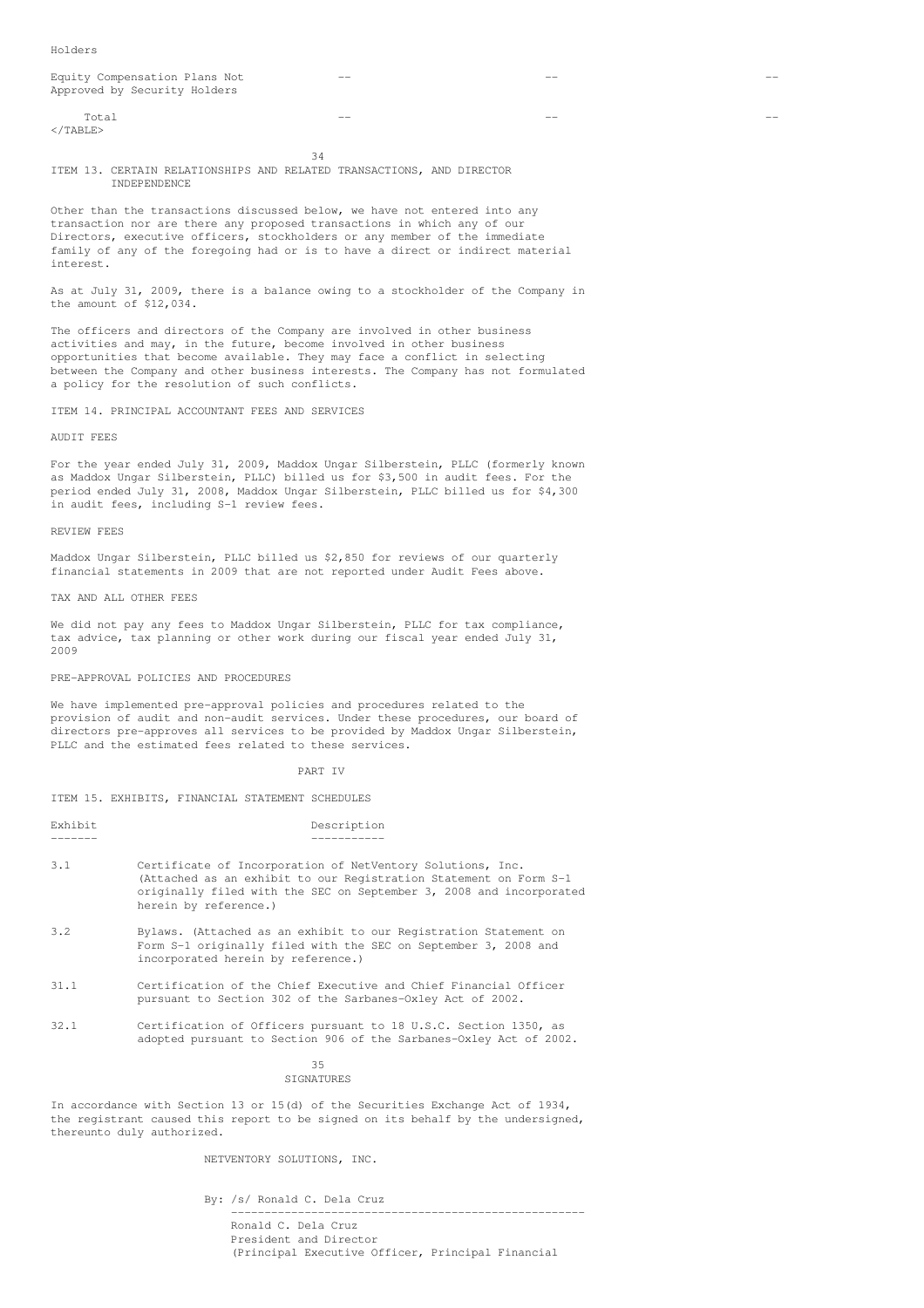| Equity Compensation Plans Not<br>Approved by Security Holders | $- -$ | $- -$ |  |
|---------------------------------------------------------------|-------|-------|--|
| Total<br>$\langle$ /TABLE>                                    | --    | --    |  |

34 ITEM 13. CERTAIN RELATIONSHIPS AND RELATED TRANSACTIONS, AND DIRECTOR INDEPENDENCE

Other than the transactions discussed below, we have not entered into any transaction nor are there any proposed transactions in which any of our Directors, executive officers, stockholders or any member of the immediate family of any of the foregoing had or is to have a direct or indirect material interest.

As at July 31, 2009, there is a balance owing to a stockholder of the Company in the amount of \$12,034.

The officers and directors of the Company are involved in other business activities and may, in the future, become involved in other business opportunities that become available. They may face a conflict in selecting between the Company and other business interests. The Company has not formulated a policy for the resolution of such conflicts.

ITEM 14. PRINCIPAL ACCOUNTANT FEES AND SERVICES

AUDIT FEES

For the year ended July 31, 2009, Maddox Ungar Silberstein, PLLC (formerly known as Maddox Ungar Silberstein, PLLC) billed us for \$3,500 in audit fees. For the period ended July 31, 2008, Maddox Ungar Silberstein, PLLC billed us for \$4,300 in audit fees, including S-1 review fees.

#### REVIEW FEES

Maddox Ungar Silberstein, PLLC billed us \$2,850 for reviews of our quarterly financial statements in 2009 that are not reported under Audit Fees above.

TAX AND ALL OTHER FEES

We did not pay any fees to Maddox Ungar Silberstein, PLLC for tax compliance, tax advice, tax planning or other work during our fiscal year ended July 31, 2009

### PRE-APPROVAL POLICIES AND PROCEDURES

We have implemented pre-approval policies and procedures related to the provision of audit and non-audit services. Under these procedures, our board of directors pre-approves all services to be provided by Maddox Ungar Silberstein, PLLC and the estimated fees related to these services.

### PART IV

ITEM 15. EXHIBITS, FINANCIAL STATEMENT SCHEDULES

| Exhibit | Description |
|---------|-------------|
|         |             |

- 3.1 Certificate of Incorporation of NetVentory Solutions, Inc. (Attached as an exhibit to our Registration Statement on Form S-1 originally filed with the SEC on September 3, 2008 and incorporated herein by reference.)
- 3.2 Bylaws. (Attached as an exhibit to our Registration Statement on Form S-1 originally filed with the SEC on September 3, 2008 and incorporated herein by reference.)
- 31.1 Certification of the Chief Executive and Chief Financial Officer pursuant to Section 302 of the Sarbanes-Oxley Act of 2002.
- 32.1 Certification of Officers pursuant to 18 U.S.C. Section 1350, as adopted pursuant to Section 906 of the Sarbanes-Oxley Act of 2002.

35 **STGNATURES** 

In accordance with Section 13 or 15(d) of the Securities Exchange Act of 1934, the registrant caused this report to be signed on its behalf by the undersigned, thereunto duly authorized.

NETVENTORY SOLUTIONS, INC.

By: /s/ Ronald C. Dela Cruz

----------------------------------------------------- Ronald C. Dela Cruz

President and Director (Principal Executive Officer, Principal Financial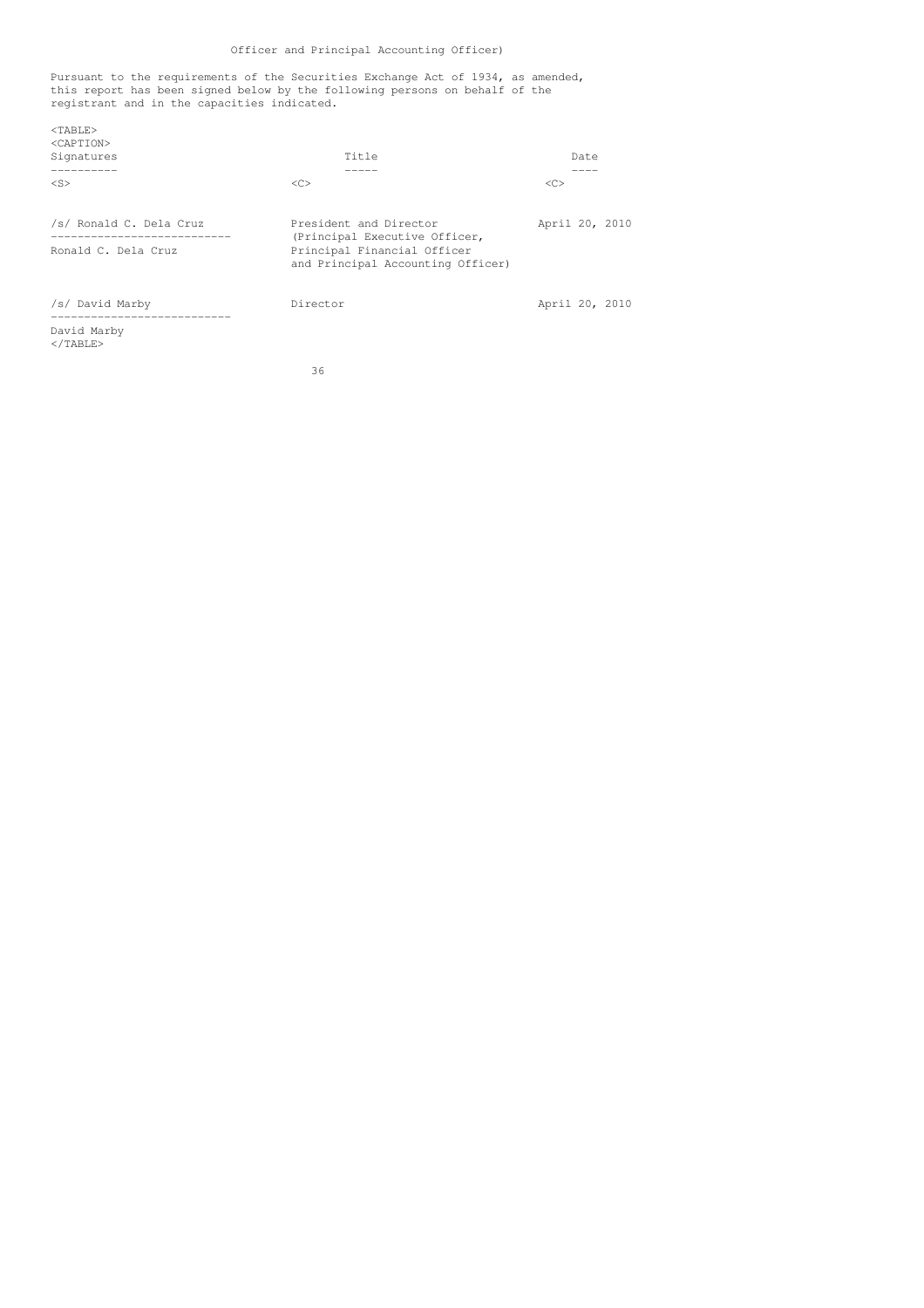# Officer and Principal Accounting Officer)

Pursuant to the requirements of the Securities Exchange Act of 1934, as amended, this report has been signed below by the following persons on behalf of the registrant and in the capacities indicated.

| $<$ TABLE><br><caption><br/>Signatures</caption>                               | Title                                                                                                                       | Date           |
|--------------------------------------------------------------------------------|-----------------------------------------------------------------------------------------------------------------------------|----------------|
| $<$ S>                                                                         | < <sub></sub>                                                                                                               | <<             |
| /s/ Ronald C. Dela Cruz<br>----------------------------<br>Ronald C. Dela Cruz | President and Director<br>(Principal Executive Officer,<br>Principal Financial Officer<br>and Principal Accounting Officer) | April 20, 2010 |
| /s/ David Marby                                                                | Director                                                                                                                    | April 20, 2010 |
| David Marby<br>$<$ /TABLE>                                                     |                                                                                                                             |                |

36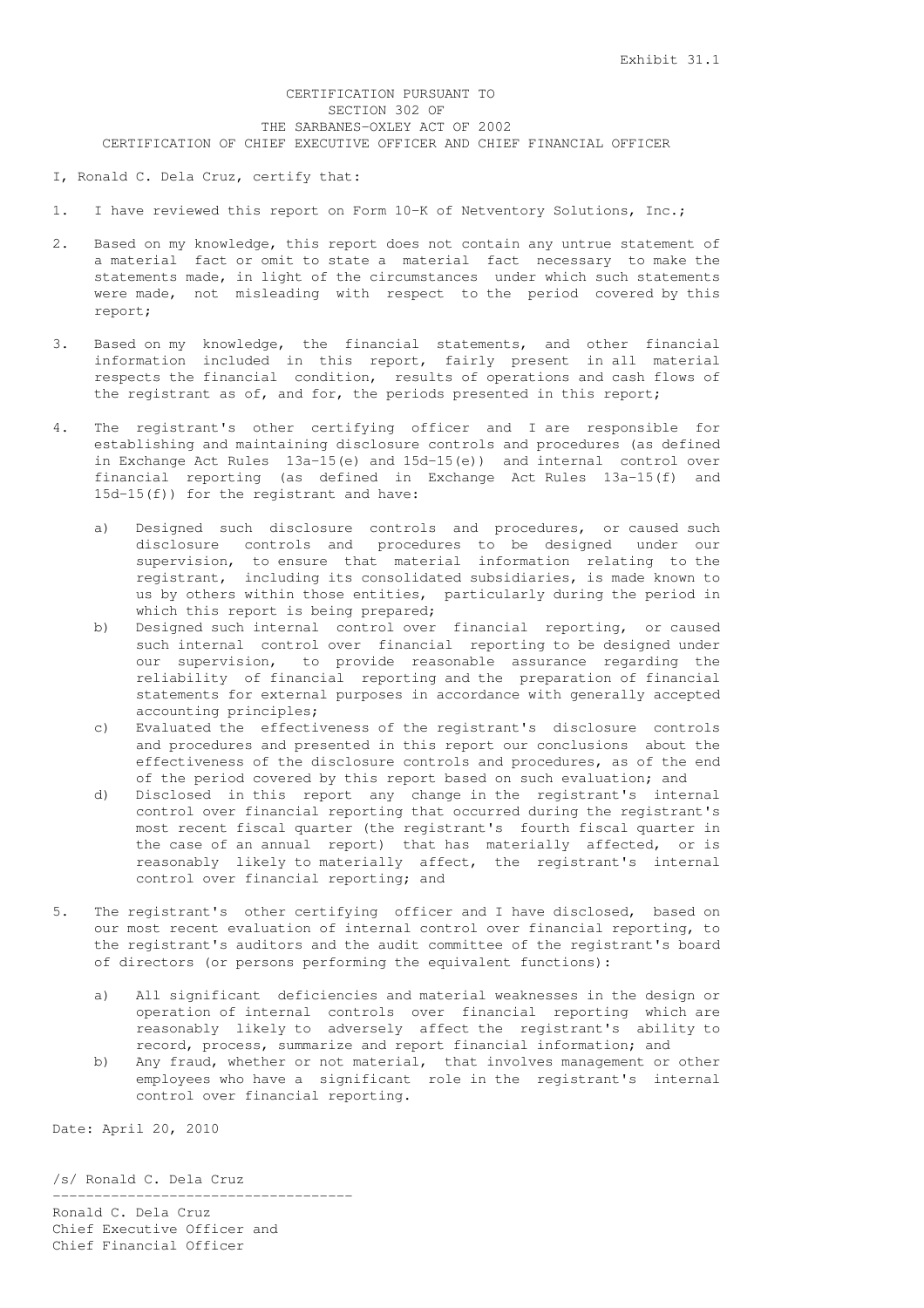# CERTIFICATION PURSUANT TO SECTION 302 OF THE SARBANES-OXLEY ACT OF 2002 CERTIFICATION OF CHIEF EXECUTIVE OFFICER AND CHIEF FINANCIAL OFFICER

## I, Ronald C. Dela Cruz, certify that:

1. I have reviewed this report on Form 10-K of Netventory Solutions, Inc.;

- 2. Based on my knowledge, this report does not contain any untrue statement of a material fact or omit to state a material fact necessary to make the statements made, in light of the circumstances under which such statements were made, not misleading with respect to the period covered by this report;
- 3. Based on my knowledge, the financial statements, and other financial information included in this report, fairly present in all material respects the financial condition, results of operations and cash flows of the registrant as of, and for, the periods presented in this report;
- 4. The registrant's other certifying officer and I are responsible for establishing and maintaining disclosure controls and procedures (as defined in Exchange Act Rules 13a-15(e) and 15d-15(e)) and internal control over financial reporting (as defined in Exchange Act Rules 13a-15(f) and 15d-15(f)) for the registrant and have:
	- a) Designed such disclosure controls and procedures, or caused such disclosure controls and procedures to be designed under our supervision, to ensure that material information relating to the registrant, including its consolidated subsidiaries, is made known to us by others within those entities, particularly during the period in which this report is being prepared;
	- b) Designed such internal control over financial reporting, or caused such internal control over financial reporting to be designed under our supervision, to provide reasonable assurance regarding the reliability of financial reporting and the preparation of financial statements for external purposes in accordance with generally accepted accounting principles;
	- c) Evaluated the effectiveness of the registrant's disclosure controls and procedures and presented in this report our conclusions about the effectiveness of the disclosure controls and procedures, as of the end of the period covered by this report based on such evaluation; and
	- d) Disclosed in this report any change in the registrant's internal control over financial reporting that occurred during the registrant's most recent fiscal quarter (the registrant's fourth fiscal quarter in the case of an annual report) that has materially affected, or is reasonably likely to materially affect, the registrant's internal control over financial reporting; and
- 5. The registrant's other certifying officer and I have disclosed, based on our most recent evaluation of internal control over financial reporting, to the registrant's auditors and the audit committee of the registrant's board of directors (or persons performing the equivalent functions):
	- a) All significant deficiencies and material weaknesses in the design or operation of internal controls over financial reporting which are reasonably likely to adversely affect the registrant's ability to record, process, summarize and report financial information; and
	- b) Any fraud, whether or not material, that involves management or other employees who have a significant role in the registrant's internal control over financial reporting.

Date: April 20, 2010

/s/ Ronald C. Dela Cruz

------------------------------------ Ronald C. Dela Cruz Chief Executive Officer and Chief Financial Officer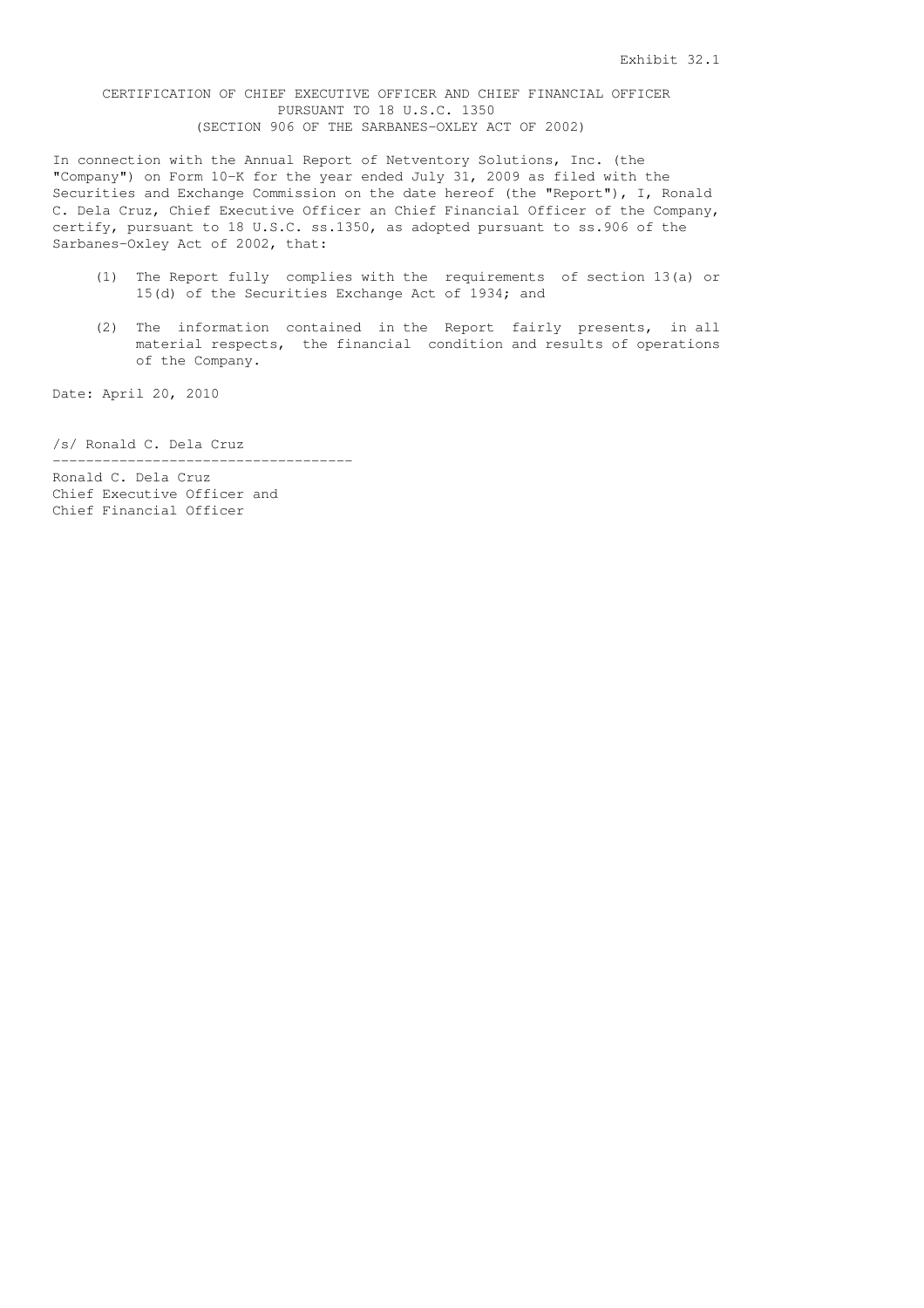# CERTIFICATION OF CHIEF EXECUTIVE OFFICER AND CHIEF FINANCIAL OFFICER PURSUANT TO 18 U.S.C. 1350 (SECTION 906 OF THE SARBANES-OXLEY ACT OF 2002)

In connection with the Annual Report of Netventory Solutions, Inc. (the "Company") on Form 10-K for the year ended July 31, 2009 as filed with the Securities and Exchange Commission on the date hereof (the "Report"), I, Ronald C. Dela Cruz, Chief Executive Officer an Chief Financial Officer of the Company, certify, pursuant to 18 U.S.C. ss.1350, as adopted pursuant to ss.906 of the Sarbanes-Oxley Act of 2002, that:

- (1) The Report fully complies with the requirements of section 13(a) or 15(d) of the Securities Exchange Act of 1934; and
- (2) The information contained in the Report fairly presents, in all material respects, the financial condition and results of operations of the Company.

Date: April 20, 2010

/s/ Ronald C. Dela Cruz

Ronald C. Dela Cruz Chief Executive Officer and Chief Financial Officer

------------------------------------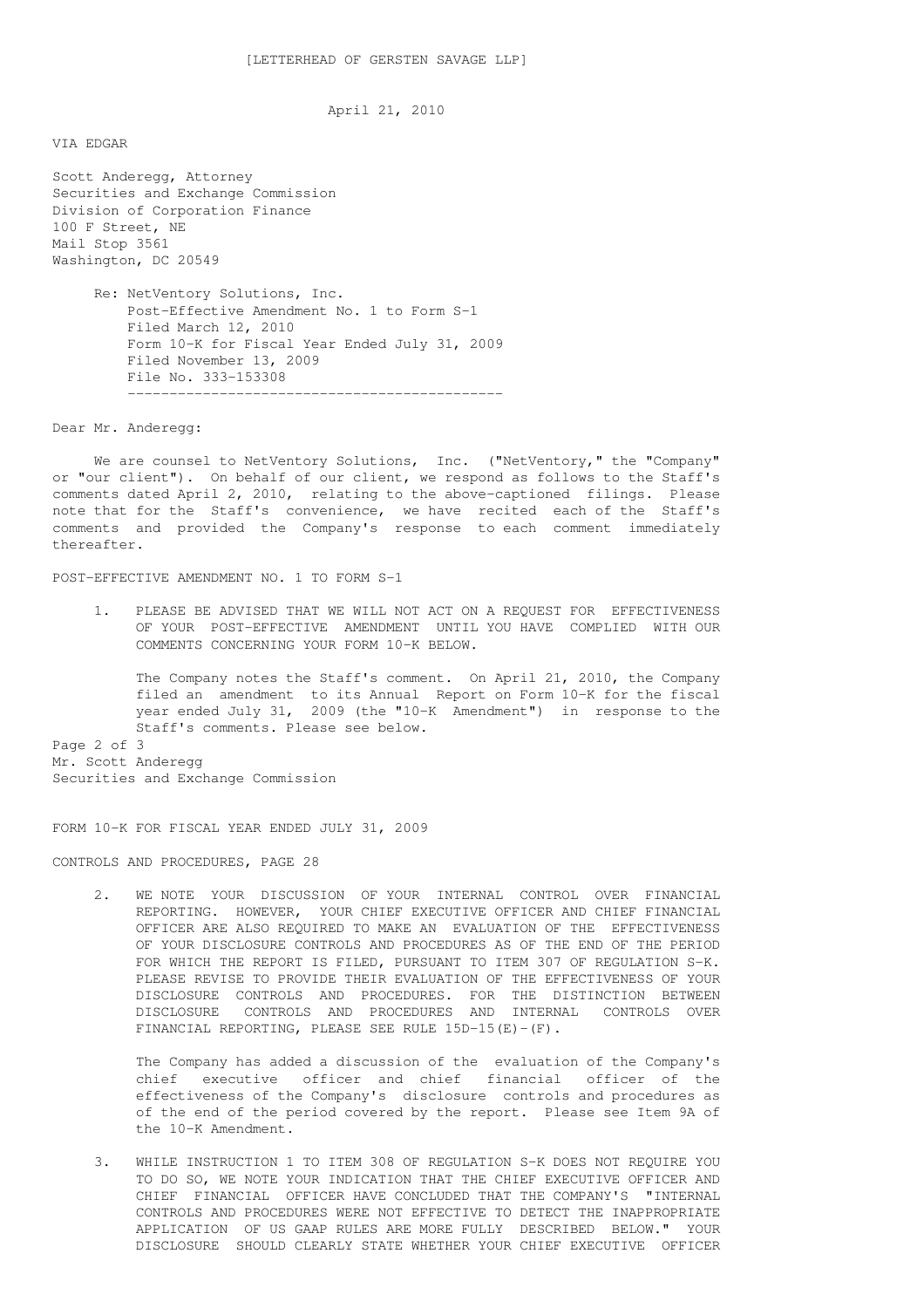April 21, 2010

VIA EDGAR

Scott Anderegg, Attorney Securities and Exchange Commission Division of Corporation Finance 100 F Street, NE Mail Stop 3561 Washington, DC 20549

> Re: NetVentory Solutions, Inc. Post-Effective Amendment No. 1 to Form S-1 Filed March 12, 2010 Form 10-K for Fiscal Year Ended July 31, 2009 Filed November 13, 2009 File No. 333-153308 ---------------------------------------------

Dear Mr. Anderegg:

We are counsel to NetVentory Solutions, Inc. ("NetVentory," the "Company" or "our client"). On behalf of our client, we respond as follows to the Staff's comments dated April 2, 2010, relating to the above-captioned filings. Please note that for the Staff's convenience, we have recited each of the Staff's comments and provided the Company's response to each comment immediately thereafter.

POST-EFFECTIVE AMENDMENT NO. 1 TO FORM S-1

1. PLEASE BE ADVISED THAT WE WILL NOT ACT ON A REQUEST FOR EFFECTIVENESS OF YOUR POST-EFFECTIVE AMENDMENT UNTIL YOU HAVE COMPLIED WITH OUR COMMENTS CONCERNING YOUR FORM 10-K BELOW.

The Company notes the Staff's comment. On April 21, 2010, the Company filed an amendment to its Annual Report on Form 10-K for the fiscal year ended July 31, 2009 (the "10-K Amendment") in response to the Staff's comments. Please see below.

Page 2 of 3 Mr. Scott Anderegg Securities and Exchange Commission

FORM 10-K FOR FISCAL YEAR ENDED JULY 31, 2009

CONTROLS AND PROCEDURES, PAGE 28

2. WE NOTE YOUR DISCUSSION OF YOUR INTERNAL CONTROL OVER FINANCIAL REPORTING. HOWEVER, YOUR CHIEF EXECUTIVE OFFICER AND CHIEF FINANCIAL OFFICER ARE ALSO REQUIRED TO MAKE AN EVALUATION OF THE EFFECTIVENESS OF YOUR DISCLOSURE CONTROLS AND PROCEDURES AS OF THE END OF THE PERIOD FOR WHICH THE REPORT IS FILED, PURSUANT TO ITEM 307 OF REGULATION S-K. PLEASE REVISE TO PROVIDE THEIR EVALUATION OF THE EFFECTIVENESS OF YOUR DISCLOSURE CONTROLS AND PROCEDURES. FOR THE DISTINCTION BETWEEN DISCLOSURE CONTROLS AND PROCEDURES AND INTERNAL CONTROLS OVER FINANCIAL REPORTING, PLEASE SEE RULE 15D-15(E)-(F).

The Company has added a discussion of the evaluation of the Company's chief executive officer and chief financial officer of the effectiveness of the Company's disclosure controls and procedures as of the end of the period covered by the report. Please see Item 9A of the 10-K Amendment.

3. WHILE INSTRUCTION 1 TO ITEM 308 OF REGULATION S-K DOES NOT REQUIRE YOU TO DO SO, WE NOTE YOUR INDICATION THAT THE CHIEF EXECUTIVE OFFICER AND CHIEF FINANCIAL OFFICER HAVE CONCLUDED THAT THE COMPANY'S "INTERNAL CONTROLS AND PROCEDURES WERE NOT EFFECTIVE TO DETECT THE INAPPROPRIATE APPLICATION OF US GAAP RULES ARE MORE FULLY DESCRIBED BELOW." YOUR DISCLOSURE SHOULD CLEARLY STATE WHETHER YOUR CHIEF EXECUTIVE OFFICER